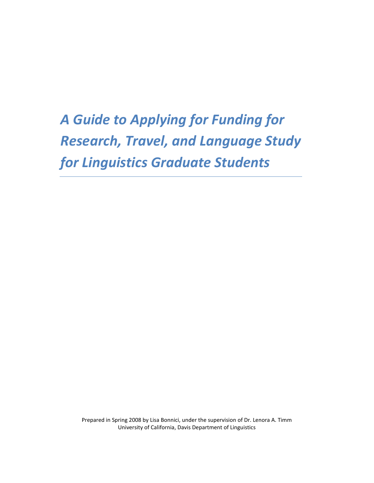A Guide to Applying for Funding for Research, Travel, and Language Study for Linguistics Graduate Students

Prepared in Spring 2008 by Lisa Bonnici, under the supervision of Dr. Lenora A. Timm University of California, Davis Department of Linguistics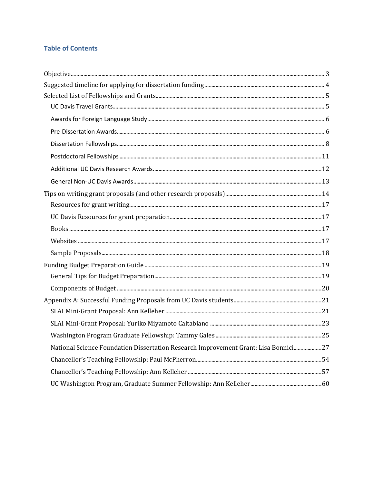# **Table of Contents**

| National Science Foundation Dissertation Research Improvement Grant: Lisa Bonnici27 |  |
|-------------------------------------------------------------------------------------|--|
|                                                                                     |  |
|                                                                                     |  |
|                                                                                     |  |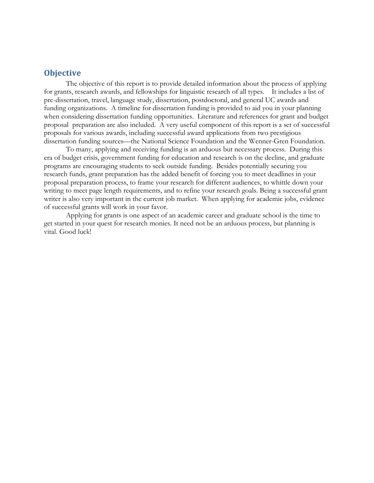## **Objective**

The objective of this report is to provide detailed information about the process of applying for grants, research awards, and fellowships for linguistic research of all types. It includes a list of pre-dissertation, travel, language study, dissertation, postdoctoral, and general UC awards and funding organizations. A timeline for dissertation funding is provided to aid you in your planning when considering dissertation funding opportunities. Literature and references for grant and budget proposal preparation are also included. A very useful component of this report is a set of successful proposals for various awards, including successful award applications from two prestigious dissertation funding sources—the National Science Foundation and the Wenner-Gren Foundation.

To many, applying and receiving funding is an arduous but necessary process. During this era of budget crisis, government funding for education and research is on the decline, and graduate programs are encouraging students to seek outside funding. Besides potentially securing you research funds, grant preparation has the added benefit of forcing you to meet deadlines in your proposal preparation process, to frame your research for different audiences, to whittle down your writing to meet page length requirements, and to refine your research goals. Being a successful grant writer is also very important in the current job market. When applying for academic jobs, evidence of successful grants will work in your favor.

Applying for grants is one aspect of an academic career and graduate school is the time to get started in your quest for research monies. It need not be an arduous process, but planning is vital. Good luck!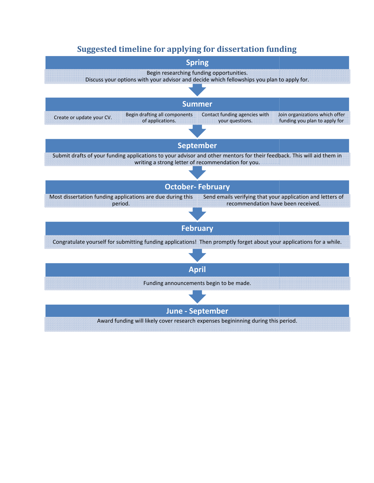# Suggested timeline for applying for dissertation funding

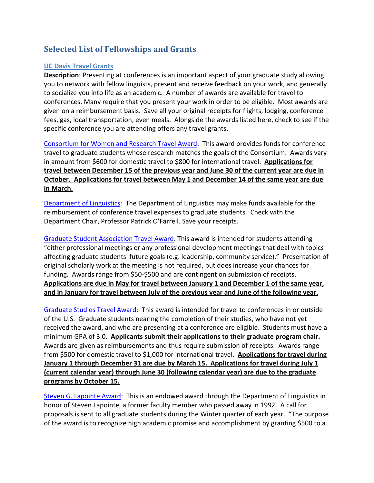# Selected List of Fellowships and Grants

## UC Davis Travel Grants

Description: Presenting at conferences is an important aspect of your graduate study allowing you to network with fellow linguists, present and receive feedback on your work, and generally to socialize you into life as an academic. A number of awards are available for travel to conferences. Many require that you present your work in order to be eligible. Most awards are given on a reimbursement basis. Save all your original receipts for flights, lodging, conference fees, gas, local transportation, even meals. Alongside the awards listed here, check to see if the specific conference you are attending offers any travel grants.

Consortium for Women and Research Travel Award: This award provides funds for conference travel to graduate students whose research matches the goals of the Consortium. Awards vary in amount from \$600 for domestic travel to \$800 for international travel. Applications for travel between December 15 of the previous year and June 30 of the current year are due in October. Applications for travel between May 1 and December 14 of the same year are due in March.

Department of Linguistics: The Department of Linguistics may make funds available for the reimbursement of conference travel expenses to graduate students. Check with the Department Chair, Professor Patrick O'Farrell. Save your receipts.

Graduate Student Association Travel Award: This award is intended for students attending "either professional meetings or any professional development meetings that deal with topics affecting graduate students' future goals (e.g. leadership, community service)." Presentation of original scholarly work at the meeting is not required, but does increase your chances for funding. Awards range from \$50-\$500 and are contingent on submission of receipts. Applications are due in May for travel between January 1 and December 1 of the same year, and in January for travel between July of the previous year and June of the following year.

Graduate Studies Travel Award: This award is intended for travel to conferences in or outside of the U.S. Graduate students nearing the completion of their studies, who have not yet received the award, and who are presenting at a conference are eligible. Students must have a minimum GPA of 3.0. Applicants submit their applications to their graduate program chair. Awards are given as reimbursements and thus require submission of receipts. Awards range from \$500 for domestic travel to \$1,000 for international travel. Applications for travel during January 1 through December 31 are due by March 15. Applications for travel during July 1 (current calendar year) through June 30 (following calendar year) are due to the graduate programs by October 15.

Steven G. Lapointe Award: This is an endowed award through the Department of Linguistics in honor of Steven Lapointe, a former faculty member who passed away in 1992. A call for proposals is sent to all graduate students during the Winter quarter of each year. "The purpose of the award is to recognize high academic promise and accomplishment by granting \$500 to a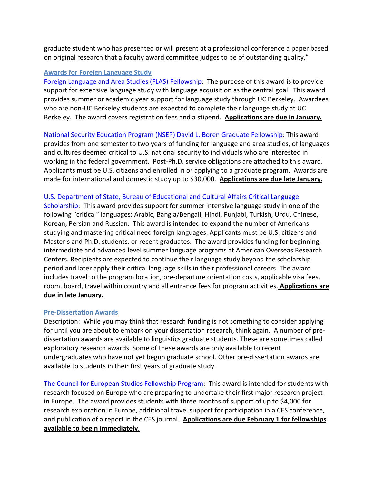graduate student who has presented or will present at a professional conference a paper based on original research that a faculty award committee judges to be of outstanding quality."

## Awards for Foreign Language Study

Foreign Language and Area Studies (FLAS) Fellowship: The purpose of this award is to provide support for extensive language study with language acquisition as the central goal. This award provides summer or academic year support for language study through UC Berkeley. Awardees who are non-UC Berkeley students are expected to complete their language study at UC Berkeley. The award covers registration fees and a stipend. Applications are due in January.

National Security Education Program (NSEP) David L. Boren Graduate Fellowship: This award provides from one semester to two years of funding for language and area studies, of languages and cultures deemed critical to U.S. national security to individuals who are interested in working in the federal government. Post-Ph.D. service obligations are attached to this award. Applicants must be U.S. citizens and enrolled in or applying to a graduate program. Awards are made for international and domestic study up to \$30,000. Applications are due late January.

## U.S. Department of State, Bureau of Educational and Cultural Affairs Critical Language

Scholarship: This award provides support for summer intensive language study in one of the following "critical" languages: Arabic, Bangla/Bengali, Hindi, Punjabi, Turkish, Urdu, Chinese, Korean, Persian and Russian. This award is intended to expand the number of Americans studying and mastering critical need foreign languages. Applicants must be U.S. citizens and Master's and Ph.D. students, or recent graduates. The award provides funding for beginning, intermediate and advanced level summer language programs at American Overseas Research Centers. Recipients are expected to continue their language study beyond the scholarship period and later apply their critical language skills in their professional careers. The award includes travel to the program location, pre-departure orientation costs, applicable visa fees, room, board, travel within country and all entrance fees for program activities. Applications are due in late January.

## Pre-Dissertation Awards

Description: While you may think that research funding is not something to consider applying for until you are about to embark on your dissertation research, think again. A number of predissertation awards are available to linguistics graduate students. These are sometimes called exploratory research awards. Some of these awards are only available to recent undergraduates who have not yet begun graduate school. Other pre-dissertation awards are available to students in their first years of graduate study.

The Council for European Studies Fellowship Program: This award is intended for students with research focused on Europe who are preparing to undertake their first major research project in Europe. The award provides students with three months of support of up to \$4,000 for research exploration in Europe, additional travel support for participation in a CES conference, and publication of a report in the CES journal. Applications are due February 1 for fellowships available to begin immediately.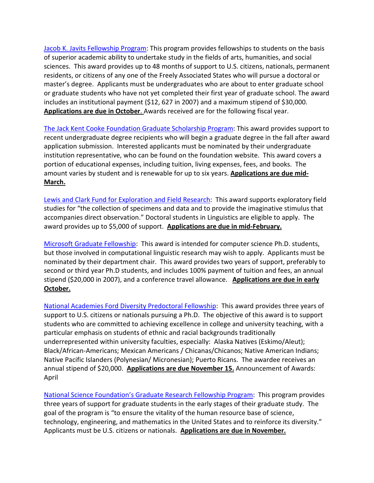Jacob K. Javits Fellowship Program: This program provides fellowships to students on the basis of superior academic ability to undertake study in the fields of arts, humanities, and social sciences. This award provides up to 48 months of support to U.S. citizens, nationals, permanent residents, or citizens of any one of the Freely Associated States who will pursue a doctoral or master's degree. Applicants must be undergraduates who are about to enter graduate school or graduate students who have not yet completed their first year of graduate school. The award includes an institutional payment (\$12, 627 in 2007) and a maximum stipend of \$30,000. Applications are due in October. Awards received are for the following fiscal year.

The Jack Kent Cooke Foundation Graduate Scholarship Program: This award provides support to recent undergraduate degree recipients who will begin a graduate degree in the fall after award application submission. Interested applicants must be nominated by their undergraduate institution representative, who can be found on the foundation website. This award covers a portion of educational expenses, including tuition, living expenses, fees, and books. The amount varies by student and is renewable for up to six years. Applications are due mid-March.

Lewis and Clark Fund for Exploration and Field Research: This award supports exploratory field studies for "the collection of specimens and data and to provide the imaginative stimulus that accompanies direct observation." Doctoral students in Linguistics are eligible to apply. The award provides up to \$5,000 of support. Applications are due in mid-February.

Microsoft Graduate Fellowship: This award is intended for computer science Ph.D. students, but those involved in computational linguistic research may wish to apply. Applicants must be nominated by their department chair. This award provides two years of support, preferably to second or third year Ph.D students, and includes 100% payment of tuition and fees, an annual stipend (\$20,000 in 2007), and a conference travel allowance. Applications are due in early October.

National Academies Ford Diversity Predoctoral Fellowship: This award provides three years of support to U.S. citizens or nationals pursuing a Ph.D. The objective of this award is to support students who are committed to achieving excellence in college and university teaching, with a particular emphasis on students of ethnic and racial backgrounds traditionally underrepresented within university faculties, especially: Alaska Natives (Eskimo/Aleut); Black/African-Americans; Mexican Americans / Chicanas/Chicanos; Native American Indians; Native Pacific Islanders (Polynesian/ Micronesian); Puerto Ricans. The awardee receives an annual stipend of \$20,000. Applications are due November 15. Announcement of Awards: April

National Science Foundation's Graduate Research Fellowship Program: This program provides three years of support for graduate students in the early stages of their graduate study. The goal of the program is "to ensure the vitality of the human resource base of science, technology, engineering, and mathematics in the United States and to reinforce its diversity." Applicants must be U.S. citizens or nationals. Applications are due in November.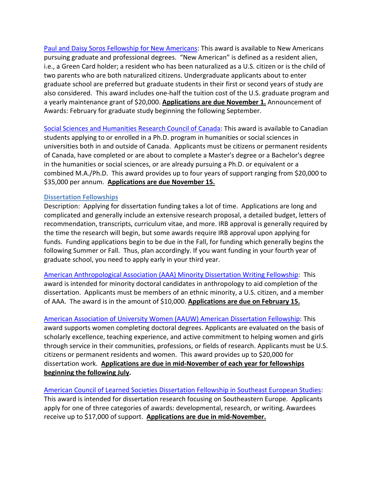Paul and Daisy Soros Fellowship for New Americans: This award is available to New Americans pursuing graduate and professional degrees. "New American" is defined as a resident alien, i.e., a Green Card holder; a resident who has been naturalized as a U.S. citizen or is the child of two parents who are both naturalized citizens. Undergraduate applicants about to enter graduate school are preferred but graduate students in their first or second years of study are also considered. This award includes one-half the tuition cost of the U.S. graduate program and a yearly maintenance grant of \$20,000. Applications are due November 1. Announcement of Awards: February for graduate study beginning the following September.

Social Sciences and Humanities Research Council of Canada: This award is available to Canadian students applying to or enrolled in a Ph.D. program in humanities or social sciences in universities both in and outside of Canada. Applicants must be citizens or permanent residents of Canada, have completed or are about to complete a Master's degree or a Bachelor's degree in the humanities or social sciences, or are already pursuing a Ph.D. or equivalent or a combined M.A./Ph.D. This award provides up to four years of support ranging from \$20,000 to \$35,000 per annum. Applications are due November 15.

## Dissertation Fellowships

Description: Applying for dissertation funding takes a lot of time. Applications are long and complicated and generally include an extensive research proposal, a detailed budget, letters of recommendation, transcripts, curriculum vitae, and more. IRB approval is generally required by the time the research will begin, but some awards require IRB approval upon applying for funds. Funding applications begin to be due in the Fall, for funding which generally begins the following Summer or Fall. Thus, plan accordingly. If you want funding in your fourth year of graduate school, you need to apply early in your third year.

American Anthropological Association (AAA) Minority Dissertation Writing Fellowship: This award is intended for minority doctoral candidates in anthropology to aid completion of the dissertation. Applicants must be members of an ethnic minority, a U.S. citizen, and a member of AAA. The award is in the amount of \$10,000. Applications are due on February 15.

American Association of University Women (AAUW) American Dissertation Fellowship: This award supports women completing doctoral degrees. Applicants are evaluated on the basis of scholarly excellence, teaching experience, and active commitment to helping women and girls through service in their communities, professions, or fields of research. Applicants must be U.S. citizens or permanent residents and women. This award provides up to \$20,000 for dissertation work. Applications are due in mid-November of each year for fellowships beginning the following July.

American Council of Learned Societies Dissertation Fellowship in Southeast European Studies: This award is intended for dissertation research focusing on Southeastern Europe. Applicants apply for one of three categories of awards: developmental, research, or writing. Awardees receive up to \$17,000 of support. Applications are due in mid-November.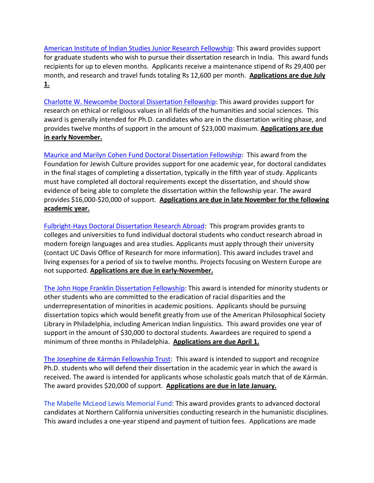American Institute of Indian Studies Junior Research Fellowship: This award provides support for graduate students who wish to pursue their dissertation research in India. This award funds recipients for up to eleven months. Applicants receive a maintenance stipend of Rs 29,400 per month, and research and travel funds totaling Rs 12,600 per month. Applications are due July 1.

Charlotte W. Newcombe Doctoral Dissertation Fellowship: This award provides support for research on ethical or religious values in all fields of the humanities and social sciences. This award is generally intended for Ph.D. candidates who are in the dissertation writing phase, and provides twelve months of support in the amount of \$23,000 maximum. Applications are due in early November.

Maurice and Marilyn Cohen Fund Doctoral Dissertation Fellowship: This award from the Foundation for Jewish Culture provides support for one academic year, for doctoral candidates in the final stages of completing a dissertation, typically in the fifth year of study. Applicants must have completed all doctoral requirements except the dissertation, and should show evidence of being able to complete the dissertation within the fellowship year. The award provides \$16,000-\$20,000 of support. Applications are due in late November for the following academic year.

Fulbright-Hays Doctoral Dissertation Research Abroad: This program provides grants to colleges and universities to fund individual doctoral students who conduct research abroad in modern foreign languages and area studies. Applicants must apply through their university (contact UC Davis Office of Research for more information). This award includes travel and living expenses for a period of six to twelve months. Projects focusing on Western Europe are not supported. Applications are due in early-November.

The John Hope Franklin Dissertation Fellowship: This award is intended for minority students or other students who are committed to the eradication of racial disparities and the underrepresentation of minorities in academic positions. Applicants should be pursuing dissertation topics which would benefit greatly from use of the American Philosophical Society Library in Philadelphia, including American Indian linguistics. This award provides one year of support in the amount of \$30,000 to doctoral students. Awardees are required to spend a minimum of three months in Philadelphia. Applications are due April 1.

The Josephine de Kármán Fellowship Trust: This award is intended to support and recognize Ph.D. students who will defend their dissertation in the academic year in which the award is received. The award is intended for applicants whose scholastic goals match that of de Kármán. The award provides \$20,000 of support. Applications are due in late January.

The Mabelle McLeod Lewis Memorial Fund: This award provides grants to advanced doctoral candidates at Northern California universities conducting research in the humanistic disciplines. This award includes a one-year stipend and payment of tuition fees. Applications are made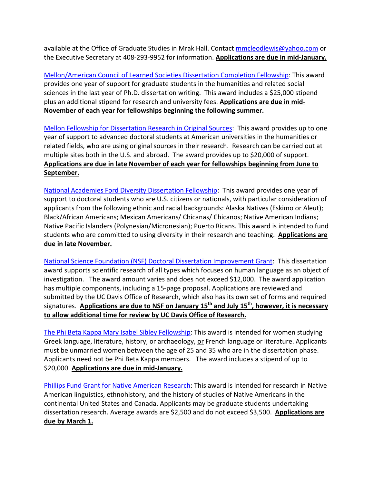available at the Office of Graduate Studies in Mrak Hall. Contact mmcleodlewis@yahoo.com or the Executive Secretary at 408-293-9952 for information. Applications are due in mid-January.

Mellon/American Council of Learned Societies Dissertation Completion Fellowship: This award provides one year of support for graduate students in the humanities and related social sciences in the last year of Ph.D. dissertation writing. This award includes a \$25,000 stipend plus an additional stipend for research and university fees. Applications are due in mid-November of each year for fellowships beginning the following summer.

Mellon Fellowship for Dissertation Research in Original Sources: This award provides up to one year of support to advanced doctoral students at American universities in the humanities or related fields, who are using original sources in their research. Research can be carried out at multiple sites both in the U.S. and abroad. The award provides up to \$20,000 of support. Applications are due in late November of each year for fellowships beginning from June to September.

National Academies Ford Diversity Dissertation Fellowship: This award provides one year of support to doctoral students who are U.S. citizens or nationals, with particular consideration of applicants from the following ethnic and racial backgrounds: Alaska Natives (Eskimo or Aleut); Black/African Americans; Mexican Americans/ Chicanas/ Chicanos; Native American Indians; Native Pacific Islanders (Polynesian/Micronesian); Puerto Ricans. This award is intended to fund students who are committed to using diversity in their research and teaching. Applications are due in late November.

National Science Foundation (NSF) Doctoral Dissertation Improvement Grant: This dissertation award supports scientific research of all types which focuses on human language as an object of investigation. The award amount varies and does not exceed \$12,000. The award application has multiple components, including a 15-page proposal. Applications are reviewed and submitted by the UC Davis Office of Research, which also has its own set of forms and required signatures. Applications are due to NSF on January 15<sup>th</sup> and July 15<sup>th</sup>, however, it is necessary to allow additional time for review by UC Davis Office of Research.

The Phi Beta Kappa Mary Isabel Sibley Fellowship: This award is intended for women studying Greek language, literature, history, or archaeology, or French language or literature. Applicants must be unmarried women between the age of 25 and 35 who are in the dissertation phase. Applicants need not be Phi Beta Kappa members. The award includes a stipend of up to \$20,000. Applications are due in mid-January.

Phillips Fund Grant for Native American Research: This award is intended for research in Native American linguistics, ethnohistory, and the history of studies of Native Americans in the continental United States and Canada. Applicants may be graduate students undertaking dissertation research. Average awards are \$2,500 and do not exceed \$3,500. Applications are due by March 1.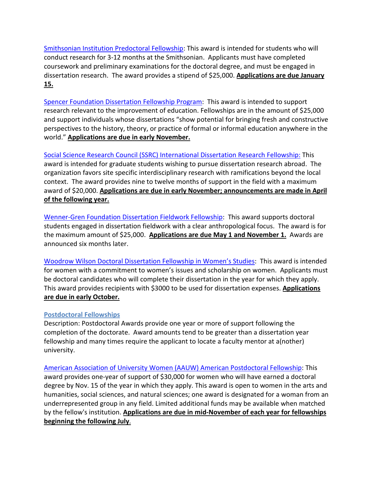Smithsonian Institution Predoctoral Fellowship: This award is intended for students who will conduct research for 3-12 months at the Smithsonian. Applicants must have completed coursework and preliminary examinations for the doctoral degree, and must be engaged in dissertation research. The award provides a stipend of \$25,000. Applications are due January 15.

Spencer Foundation Dissertation Fellowship Program: This award is intended to support research relevant to the improvement of education. Fellowships are in the amount of \$25,000 and support individuals whose dissertations "show potential for bringing fresh and constructive perspectives to the history, theory, or practice of formal or informal education anywhere in the world." **Applications are due in early November.** 

Social Science Research Council (SSRC) International Dissertation Research Fellowship: This award is intended for graduate students wishing to pursue dissertation research abroad. The organization favors site specific interdisciplinary research with ramifications beyond the local context. The award provides nine to twelve months of support in the field with a maximum award of \$20,000. Applications are due in early November; announcements are made in April of the following year.

Wenner-Gren Foundation Dissertation Fieldwork Fellowship: This award supports doctoral students engaged in dissertation fieldwork with a clear anthropological focus. The award is for the maximum amount of \$25,000. Applications are due May 1 and November 1. Awards are announced six months later.

Woodrow Wilson Doctoral Dissertation Fellowship in Women's Studies: This award is intended for women with a commitment to women's issues and scholarship on women. Applicants must be doctoral candidates who will complete their dissertation in the year for which they apply. This award provides recipients with \$3000 to be used for dissertation expenses. Applications are due in early October.

## Postdoctoral Fellowships

Description: Postdoctoral Awards provide one year or more of support following the completion of the doctorate. Award amounts tend to be greater than a dissertation year fellowship and many times require the applicant to locate a faculty mentor at a(nother) university.

American Association of University Women (AAUW) American Postdoctoral Fellowship: This award provides one-year of support of \$30,000 for women who will have earned a doctoral degree by Nov. 15 of the year in which they apply. This award is open to women in the arts and humanities, social sciences, and natural sciences; one award is designated for a woman from an underrepresented group in any field. Limited additional funds may be available when matched by the fellow's institution. Applications are due in mid-November of each year for fellowships beginning the following July.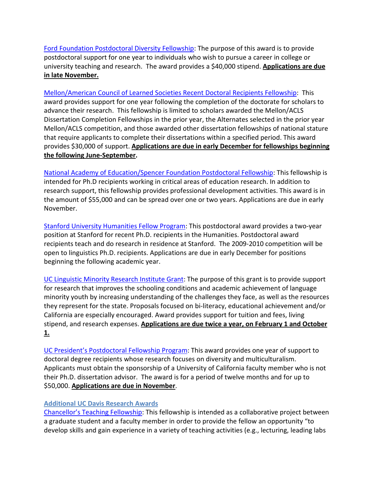Ford Foundation Postdoctoral Diversity Fellowship: The purpose of this award is to provide postdoctoral support for one year to individuals who wish to pursue a career in college or university teaching and research. The award provides a \$40,000 stipend. **Applications are due** in late November.

Mellon/American Council of Learned Societies Recent Doctoral Recipients Fellowship: This award provides support for one year following the completion of the doctorate for scholars to advance their research. This fellowship is limited to scholars awarded the Mellon/ACLS Dissertation Completion Fellowships in the prior year, the Alternates selected in the prior year Mellon/ACLS competition, and those awarded other dissertation fellowships of national stature that require applicants to complete their dissertations within a specified period. This award provides \$30,000 of support. Applications are due in early December for fellowships beginning the following June-September.

National Academy of Education/Spencer Foundation Postdoctoral Fellowship: This fellowship is intended for Ph.D recipients working in critical areas of education research. In addition to research support, this fellowship provides professional development activities. This award is in the amount of \$55,000 and can be spread over one or two years. Applications are due in early November.

Stanford University Humanities Fellow Program: This postdoctoral award provides a two-year position at Stanford for recent Ph.D. recipients in the Humanities. Postdoctoral award recipients teach and do research in residence at Stanford. The 2009-2010 competition will be open to linguistics Ph.D. recipients. Applications are due in early December for positions beginning the following academic year.

UC Linguistic Minority Research Institute Grant: The purpose of this grant is to provide support for research that improves the schooling conditions and academic achievement of language minority youth by increasing understanding of the challenges they face, as well as the resources they represent for the state. Proposals focused on bi-literacy, educational achievement and/or California are especially encouraged. Award provides support for tuition and fees, living stipend, and research expenses. Applications are due twice a year, on February 1 and October 1.

UC President's Postdoctoral Fellowship Program: This award provides one year of support to doctoral degree recipients whose research focuses on diversity and multiculturalism. Applicants must obtain the sponsorship of a University of California faculty member who is not their Ph.D. dissertation advisor. The award is for a period of twelve months and for up to \$50,000. Applications are due in November.

## Additional UC Davis Research Awards

Chancellor's Teaching Fellowship: This fellowship is intended as a collaborative project between a graduate student and a faculty member in order to provide the fellow an opportunity "to develop skills and gain experience in a variety of teaching activities (e.g., lecturing, leading labs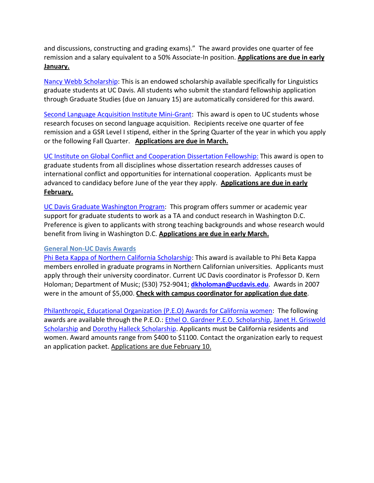and discussions, constructing and grading exams)." The award provides one quarter of fee remission and a salary equivalent to a 50% Associate-In position. Applications are due in early January.

Nancy Webb Scholarship: This is an endowed scholarship available specifically for Linguistics graduate students at UC Davis. All students who submit the standard fellowship application through Graduate Studies (due on January 15) are automatically considered for this award.

Second Language Acquisition Institute Mini-Grant: This award is open to UC students whose research focuses on second language acquisition. Recipients receive one quarter of fee remission and a GSR Level I stipend, either in the Spring Quarter of the year in which you apply or the following Fall Quarter. Applications are due in March.

UC Institute on Global Conflict and Cooperation Dissertation Fellowship: This award is open to graduate students from all disciplines whose dissertation research addresses causes of international conflict and opportunities for international cooperation. Applicants must be advanced to candidacy before June of the year they apply. Applications are due in early February.

UC Davis Graduate Washington Program: This program offers summer or academic year support for graduate students to work as a TA and conduct research in Washington D.C. Preference is given to applicants with strong teaching backgrounds and whose research would benefit from living in Washington D.C. **Applications are due in early March.** 

## General Non-UC Davis Awards

Phi Beta Kappa of Northern California Scholarship: This award is available to Phi Beta Kappa members enrolled in graduate programs in Northern Californian universities. Applicants must apply through their university coordinator. Current UC Davis coordinator is Professor D. Kern Holoman; Department of Music; (530) 752-9041; **dkholoman@ucdavis.edu**. Awards in 2007 were in the amount of \$5,000. Check with campus coordinator for application due date.

Philanthropic, Educational Organization (P.E.O) Awards for California women: The following awards are available through the P.E.O.: Ethel O. Gardner P.E.O. Scholarship, Janet H. Griswold Scholarship and Dorothy Halleck Scholarship. Applicants must be California residents and women. Award amounts range from \$400 to \$1100. Contact the organization early to request an application packet. Applications are due February 10.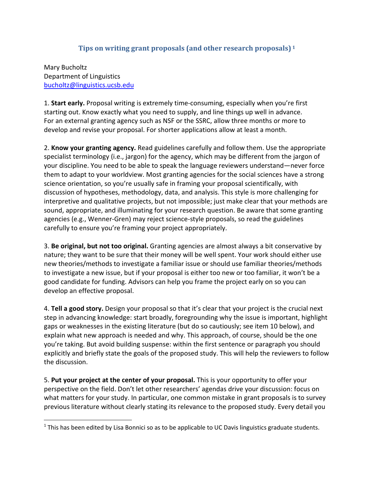# Tips on writing grant proposals (and other research proposals) <sup>1</sup>

Mary Bucholtz Department of Linguistics bucholtz@linguistics.ucsb.edu

-

1. Start early. Proposal writing is extremely time-consuming, especially when you're first starting out. Know exactly what you need to supply, and line things up well in advance. For an external granting agency such as NSF or the SSRC, allow three months or more to develop and revise your proposal. For shorter applications allow at least a month.

2. Know your granting agency. Read guidelines carefully and follow them. Use the appropriate specialist terminology (i.e., jargon) for the agency, which may be different from the jargon of your discipline. You need to be able to speak the language reviewers understand—never force them to adapt to your worldview. Most granting agencies for the social sciences have a strong science orientation, so you're usually safe in framing your proposal scientifically, with discussion of hypotheses, methodology, data, and analysis. This style is more challenging for interpretive and qualitative projects, but not impossible; just make clear that your methods are sound, appropriate, and illuminating for your research question. Be aware that some granting agencies (e.g., Wenner-Gren) may reject science-style proposals, so read the guidelines carefully to ensure you're framing your project appropriately.

3. Be original, but not too original. Granting agencies are almost always a bit conservative by nature; they want to be sure that their money will be well spent. Your work should either use new theories/methods to investigate a familiar issue or should use familiar theories/methods to investigate a new issue, but if your proposal is either too new or too familiar, it won't be a good candidate for funding. Advisors can help you frame the project early on so you can develop an effective proposal.

4. Tell a good story. Design your proposal so that it's clear that your project is the crucial next step in advancing knowledge: start broadly, foregrounding why the issue is important, highlight gaps or weaknesses in the existing literature (but do so cautiously; see item 10 below), and explain what new approach is needed and why. This approach, of course, should be the one you're taking. But avoid building suspense: within the first sentence or paragraph you should explicitly and briefly state the goals of the proposed study. This will help the reviewers to follow the discussion.

5. Put your project at the center of your proposal. This is your opportunity to offer your perspective on the field. Don't let other researchers' agendas drive your discussion: focus on what matters for your study. In particular, one common mistake in grant proposals is to survey previous literature without clearly stating its relevance to the proposed study. Every detail you

 $1$  This has been edited by Lisa Bonnici so as to be applicable to UC Davis linguistics graduate students.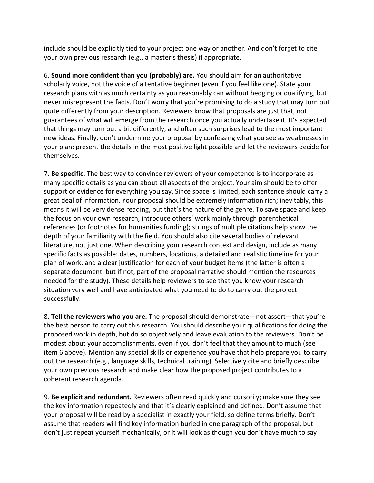include should be explicitly tied to your project one way or another. And don't forget to cite your own previous research (e.g., a master's thesis) if appropriate.

6. Sound more confident than you (probably) are. You should aim for an authoritative scholarly voice, not the voice of a tentative beginner (even if you feel like one). State your research plans with as much certainty as you reasonably can without hedging or qualifying, but never misrepresent the facts. Don't worry that you're promising to do a study that may turn out quite differently from your description. Reviewers know that proposals are just that, not guarantees of what will emerge from the research once you actually undertake it. It's expected that things may turn out a bit differently, and often such surprises lead to the most important new ideas. Finally, don't undermine your proposal by confessing what you see as weaknesses in your plan; present the details in the most positive light possible and let the reviewers decide for themselves.

7. Be specific. The best way to convince reviewers of your competence is to incorporate as many specific details as you can about all aspects of the project. Your aim should be to offer support or evidence for everything you say. Since space is limited, each sentence should carry a great deal of information. Your proposal should be extremely information rich; inevitably, this means it will be very dense reading, but that's the nature of the genre. To save space and keep the focus on your own research, introduce others' work mainly through parenthetical references (or footnotes for humanities funding); strings of multiple citations help show the depth of your familiarity with the field. You should also cite several bodies of relevant literature, not just one. When describing your research context and design, include as many specific facts as possible: dates, numbers, locations, a detailed and realistic timeline for your plan of work, and a clear justification for each of your budget items (the latter is often a separate document, but if not, part of the proposal narrative should mention the resources needed for the study). These details help reviewers to see that you know your research situation very well and have anticipated what you need to do to carry out the project successfully.

8. Tell the reviewers who you are. The proposal should demonstrate—not assert—that you're the best person to carry out this research. You should describe your qualifications for doing the proposed work in depth, but do so objectively and leave evaluation to the reviewers. Don't be modest about your accomplishments, even if you don't feel that they amount to much (see item 6 above). Mention any special skills or experience you have that help prepare you to carry out the research (e.g., language skills, technical training). Selectively cite and briefly describe your own previous research and make clear how the proposed project contributes to a coherent research agenda.

9. Be explicit and redundant. Reviewers often read quickly and cursorily; make sure they see the key information repeatedly and that it's clearly explained and defined. Don't assume that your proposal will be read by a specialist in exactly your field, so define terms briefly. Don't assume that readers will find key information buried in one paragraph of the proposal, but don't just repeat yourself mechanically, or it will look as though you don't have much to say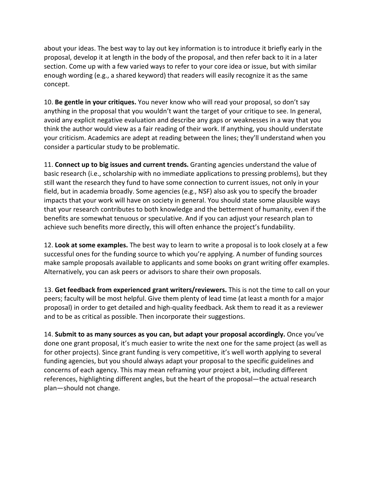about your ideas. The best way to lay out key information is to introduce it briefly early in the proposal, develop it at length in the body of the proposal, and then refer back to it in a later section. Come up with a few varied ways to refer to your core idea or issue, but with similar enough wording (e.g., a shared keyword) that readers will easily recognize it as the same concept.

10. Be gentle in your critiques. You never know who will read your proposal, so don't say anything in the proposal that you wouldn't want the target of your critique to see. In general, avoid any explicit negative evaluation and describe any gaps or weaknesses in a way that you think the author would view as a fair reading of their work. If anything, you should understate your criticism. Academics are adept at reading between the lines; they'll understand when you consider a particular study to be problematic.

11. Connect up to big issues and current trends. Granting agencies understand the value of basic research (i.e., scholarship with no immediate applications to pressing problems), but they still want the research they fund to have some connection to current issues, not only in your field, but in academia broadly. Some agencies (e.g., NSF) also ask you to specify the broader impacts that your work will have on society in general. You should state some plausible ways that your research contributes to both knowledge and the betterment of humanity, even if the benefits are somewhat tenuous or speculative. And if you can adjust your research plan to achieve such benefits more directly, this will often enhance the project's fundability.

12. Look at some examples. The best way to learn to write a proposal is to look closely at a few successful ones for the funding source to which you're applying. A number of funding sources make sample proposals available to applicants and some books on grant writing offer examples. Alternatively, you can ask peers or advisors to share their own proposals.

13. Get feedback from experienced grant writers/reviewers. This is not the time to call on your peers; faculty will be most helpful. Give them plenty of lead time (at least a month for a major proposal) in order to get detailed and high-quality feedback. Ask them to read it as a reviewer and to be as critical as possible. Then incorporate their suggestions.

14. Submit to as many sources as you can, but adapt your proposal accordingly. Once you've done one grant proposal, it's much easier to write the next one for the same project (as well as for other projects). Since grant funding is very competitive, it's well worth applying to several funding agencies, but you should always adapt your proposal to the specific guidelines and concerns of each agency. This may mean reframing your project a bit, including different references, highlighting different angles, but the heart of the proposal—the actual research plan—should not change.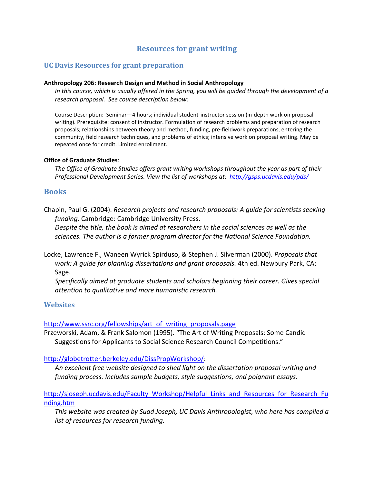# Resources for grant writing

## UC Davis Resources for grant preparation

#### Anthropology 206: Research Design and Method in Social Anthropology

In this course, which is usually offered in the Spring, you will be guided through the development of a research proposal. See course description below:

Course Description: Seminar—4 hours; individual student-instructor session (in-depth work on proposal writing). Prerequisite: consent of instructor. Formulation of research problems and preparation of research proposals; relationships between theory and method, funding, pre-fieldwork preparations, entering the community, field research techniques, and problems of ethics; intensive work on proposal writing. May be repeated once for credit. Limited enrollment.

#### Office of Graduate Studies:

The Office of Graduate Studies offers grant writing workshops throughout the year as part of their Professional Development Series. View the list of workshops at: http://gsps.ucdavis.edu/pds/

## **Books**

Chapin, Paul G. (2004). Research projects and research proposals: A guide for scientists seeking funding. Cambridge: Cambridge University Press.

Despite the title, the book is aimed at researchers in the social sciences as well as the sciences. The author is a former program director for the National Science Foundation.

- Locke, Lawrence F., Waneen Wyrick Spirduso, & Stephen J. Silverman (2000). Proposals that work: A guide for planning dissertations and grant proposals. 4th ed. Newbury Park, CA: Sage.
	- Specifically aimed at graduate students and scholars beginning their career. Gives special attention to qualitative and more humanistic research.

## **Websites**

#### http://www.ssrc.org/fellowships/art\_of\_writing\_proposals.page

Przeworski, Adam, & Frank Salomon (1995). "The Art of Writing Proposals: Some Candid Suggestions for Applicants to Social Science Research Council Competitions."

#### http://globetrotter.berkeley.edu/DissPropWorkshop/:

An excellent free website designed to shed light on the dissertation proposal writing and funding process. Includes sample budgets, style suggestions, and poignant essays.

## http://sjoseph.ucdavis.edu/Faculty\_Workshop/Helpful\_Links\_and\_Resources\_for\_Research\_Fu nding.htm

This website was created by Suad Joseph, UC Davis Anthropologist, who here has compiled a list of resources for research funding.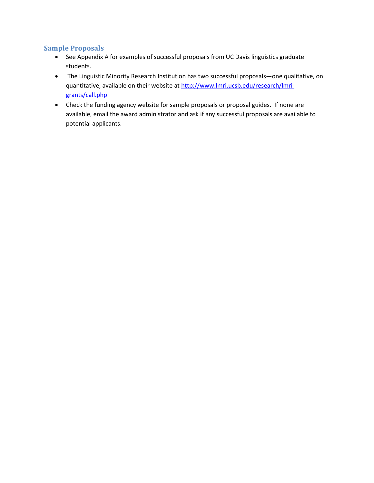## Sample Proposals

- See Appendix A for examples of successful proposals from UC Davis linguistics graduate students.
- The Linguistic Minority Research Institution has two successful proposals—one qualitative, on quantitative, available on their website at http://www.lmri.ucsb.edu/research/lmrigrants/call.php
- Check the funding agency website for sample proposals or proposal guides. If none are available, email the award administrator and ask if any successful proposals are available to potential applicants.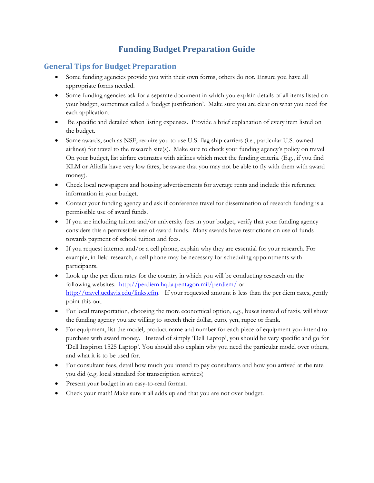# Funding Budget Preparation Guide

# General Tips for Budget Preparation

- Some funding agencies provide you with their own forms, others do not. Ensure you have all appropriate forms needed.
- Some funding agencies ask for a separate document in which you explain details of all items listed on your budget, sometimes called a 'budget justification'. Make sure you are clear on what you need for each application.
- Be specific and detailed when listing expenses. Provide a brief explanation of every item listed on the budget.
- Some awards, such as NSF, require you to use U.S. flag ship carriers (i.e., particular U.S. owned airlines) for travel to the research site(s). Make sure to check your funding agency's policy on travel. On your budget, list airfare estimates with airlines which meet the funding criteria. (E.g., if you find KLM or Alitalia have very low fares, be aware that you may not be able to fly with them with award money).
- Check local newspapers and housing advertisements for average rents and include this reference information in your budget.
- Contact your funding agency and ask if conference travel for dissemination of research funding is a permissible use of award funds.
- If you are including tuition and/or university fees in your budget, verify that your funding agency considers this a permissible use of award funds. Many awards have restrictions on use of funds towards payment of school tuition and fees.
- If you request internet and/or a cell phone, explain why they are essential for your research. For example, in field research, a cell phone may be necessary for scheduling appointments with participants.
- Look up the per diem rates for the country in which you will be conducting research on the following websites: http://perdiem.hqda.pentagon.mil/perdiem/ or http://travel.ucdavis.edu/links.cfm. If your requested amount is less than the per diem rates, gently point this out.
- For local transportation, choosing the more economical option, e.g., buses instead of taxis, will show the funding agency you are willing to stretch their dollar, euro, yen, rupee or frank.
- For equipment, list the model, product name and number for each piece of equipment you intend to purchase with award money. Instead of simply 'Dell Laptop', you should be very specific and go for 'Dell Inspiron 1525 Laptop'. You should also explain why you need the particular model over others, and what it is to be used for.
- For consultant fees, detail how much you intend to pay consultants and how you arrived at the rate you did (e.g. local standard for transcription services)
- Present your budget in an easy-to-read format.
- Check your math! Make sure it all adds up and that you are not over budget.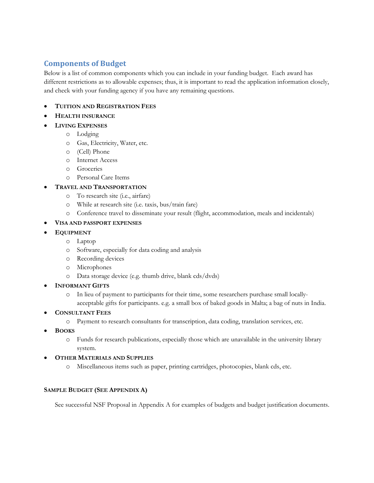# Components of Budget

Below is a list of common components which you can include in your funding budget. Each award has different restrictions as to allowable expenses; thus, it is important to read the application information closely, and check with your funding agency if you have any remaining questions.

- TUITION AND REGISTRATION FEES
- HEALTH INSURANCE
- LIVING EXPENSES
	- o Lodging
	- o Gas, Electricity, Water, etc.
	- o (Cell) Phone
	- o Internet Access
	- o Groceries
	- o Personal Care Items
- TRAVEL AND TRANSPORTATION
	- o To research site (i.e., airfare)
	- o While at research site (i.e. taxis, bus/train fare)
	- o Conference travel to disseminate your result (flight, accommodation, meals and incidentals)
- VISA AND PASSPORT EXPENSES
- **EQUIPMENT** 
	- o Laptop
	- o Software, especially for data coding and analysis
	- o Recording devices
	- o Microphones
	- o Data storage device (e.g. thumb drive, blank cds/dvds)
- **INFORMANT GIFTS** 
	- o In lieu of payment to participants for their time, some researchers purchase small locallyacceptable gifts for participants. e.g. a small box of baked goods in Malta; a bag of nuts in India.
- CONSULTANT FEES
	- o Payment to research consultants for transcription, data coding, translation services, etc.
- **BOOKS** 
	- o Funds for research publications, especially those which are unavailable in the university library system.
- OTHER MATERIALS AND SUPPLIES
	- o Miscellaneous items such as paper, printing cartridges, photocopies, blank cds, etc.

#### SAMPLE BUDGET (SEE APPENDIX A)

See successful NSF Proposal in Appendix A for examples of budgets and budget justification documents.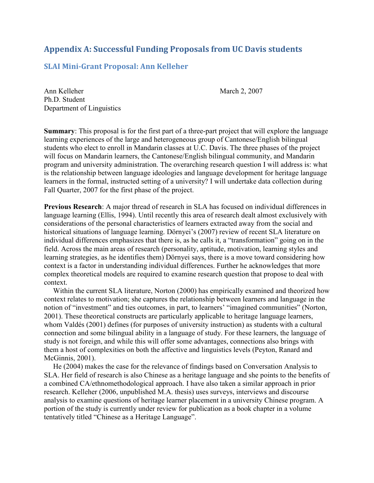# Appendix A: Successful Funding Proposals from UC Davis students

# SLAI Mini-Grant Proposal: Ann Kelleher

Ann Kelleher March 2, 2007 Ph.D. Student Department of Linguistics

Summary: This proposal is for the first part of a three-part project that will explore the language learning experiences of the large and heterogeneous group of Cantonese/English bilingual students who elect to enroll in Mandarin classes at U.C. Davis. The three phases of the project will focus on Mandarin learners, the Cantonese/English bilingual community, and Mandarin program and university administration. The overarching research question I will address is: what is the relationship between language ideologies and language development for heritage language learners in the formal, instructed setting of a university? I will undertake data collection during Fall Quarter, 2007 for the first phase of the project.

Previous Research: A major thread of research in SLA has focused on individual differences in language learning (Ellis, 1994). Until recently this area of research dealt almost exclusively with considerations of the personal characteristics of learners extracted away from the social and historical situations of language learning. Dörnyei's (2007) review of recent SLA literature on individual differences emphasizes that there is, as he calls it, a "transformation" going on in the field. Across the main areas of research (personality, aptitude, motivation, learning styles and learning strategies, as he identifies them) Dörnyei says, there is a move toward considering how context is a factor in understanding individual differences. Further he acknowledges that more complex theoretical models are required to examine research question that propose to deal with context.

 Within the current SLA literature, Norton (2000) has empirically examined and theorized how context relates to motivation; she captures the relationship between learners and language in the notion of "investment" and ties outcomes, in part, to learners' "imagined communities" (Norton, 2001). These theoretical constructs are particularly applicable to heritage language learners, whom Valdés (2001) defines (for purposes of university instruction) as students with a cultural connection and some bilingual ability in a language of study. For these learners, the language of study is not foreign, and while this will offer some advantages, connections also brings with them a host of complexities on both the affective and linguistics levels (Peyton, Ranard and McGinnis, 2001).

 He (2004) makes the case for the relevance of findings based on Conversation Analysis to SLA. Her field of research is also Chinese as a heritage language and she points to the benefits of a combined CA/ethnomethodological approach. I have also taken a similar approach in prior research. Kelleher (2006, unpublished M.A. thesis) uses surveys, interviews and discourse analysis to examine questions of heritage learner placement in a university Chinese program. A portion of the study is currently under review for publication as a book chapter in a volume tentatively titled "Chinese as a Heritage Language".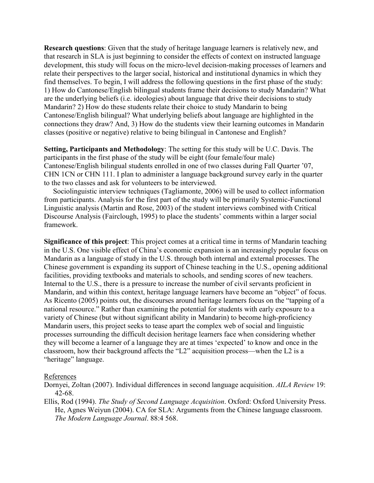Research questions: Given that the study of heritage language learners is relatively new, and that research in SLA is just beginning to consider the effects of context on instructed language development, this study will focus on the micro-level decision-making processes of learners and relate their perspectives to the larger social, historical and institutional dynamics in which they find themselves. To begin, I will address the following questions in the first phase of the study: 1) How do Cantonese/English bilingual students frame their decisions to study Mandarin? What are the underlying beliefs (i.e. ideologies) about language that drive their decisions to study Mandarin? 2) How do these students relate their choice to study Mandarin to being Cantonese/English bilingual? What underlying beliefs about language are highlighted in the connections they draw? And, 3) How do the students view their learning outcomes in Mandarin classes (positive or negative) relative to being bilingual in Cantonese and English?

Setting, Participants and Methodology: The setting for this study will be U.C. Davis. The participants in the first phase of the study will be eight (four female/four male) Cantonese/English bilingual students enrolled in one of two classes during Fall Quarter '07, CHN 1CN or CHN 111. I plan to administer a language background survey early in the quarter to the two classes and ask for volunteers to be interviewed.

 Sociolinguistic interview techniques (Tagliamonte, 2006) will be used to collect information from participants. Analysis for the first part of the study will be primarily Systemic-Functional Linguistic analysis (Martin and Rose, 2003) of the student interviews combined with Critical Discourse Analysis (Fairclough, 1995) to place the students' comments within a larger social framework.

Significance of this project: This project comes at a critical time in terms of Mandarin teaching in the U.S. One visible effect of China's economic expansion is an increasingly popular focus on Mandarin as a language of study in the U.S. through both internal and external processes. The Chinese government is expanding its support of Chinese teaching in the U.S., opening additional facilities, providing textbooks and materials to schools, and sending scores of new teachers. Internal to the U.S., there is a pressure to increase the number of civil servants proficient in Mandarin, and within this context, heritage language learners have become an "object" of focus. As Ricento (2005) points out, the discourses around heritage learners focus on the "tapping of a national resource." Rather than examining the potential for students with early exposure to a variety of Chinese (but without significant ability in Mandarin) to become high-proficiency Mandarin users, this project seeks to tease apart the complex web of social and linguistic processes surrounding the difficult decision heritage learners face when considering whether they will become a learner of a language they are at times 'expected' to know and once in the classroom, how their background affects the "L2" acquisition process—when the L2 is a "heritage" language.

## References

Dornyei, Zoltan (2007). Individual differences in second language acquisition. AILA Review 19: 42-68.

Ellis, Rod (1994). The Study of Second Language Acquisition. Oxford: Oxford University Press. He, Agnes Weiyun (2004). CA for SLA: Arguments from the Chinese language classroom. The Modern Language Journal. 88:4 568.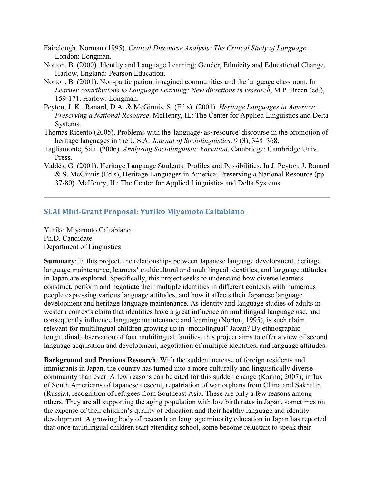- Fairclough, Norman (1995). Critical Discourse Analysis: The Critical Study of Language. London: Longman.
- Norton, B. (2000). Identity and Language Learning: Gender, Ethnicity and Educational Change. Harlow, England: Pearson Education.
- Norton, B. (2001). Non-participation, imagined communities and the language classroom. In Learner contributions to Language Learning: New directions in research, M.P. Breen (ed.), 159-171. Harlow: Longman.
- Peyton, J. K., Ranard, D.A. & McGinnis, S. (Ed.s). (2001). Heritage Languages in America: Preserving a National Resource. McHenry, IL: The Center for Applied Linguistics and Delta Systems.
- Thomas Ricento (2005). Problems with the 'language as resource' discourse in the promotion of heritage languages in the U.S.A. Journal of Sociolinguistics. 9 (3), 348–368.
- Tagliamonte, Sali. (2006). Analysing Sociolinguistic Variation. Cambridge: Cambridge Univ. Press.
- Valdés, G. (2001). Heritage Language Students: Profiles and Possibilities. In J. Peyton, J. Ranard & S. McGinnis (Ed.s), Heritage Languages in America: Preserving a National Resource (pp. 37-80). McHenry, IL: The Center for Applied Linguistics and Delta Systems.

## SLAI Mini-Grant Proposal: Yuriko Miyamoto Caltabiano

Yuriko Miyamoto Caltabiano Ph.D. Candidate Department of Linguistics

Summary: In this project, the relationships between Japanese language development, heritage language maintenance, learners' multicultural and multilingual identities, and language attitudes in Japan are explored. Specifically, this project seeks to understand how diverse learners construct, perform and negotiate their multiple identities in different contexts with numerous people expressing various language attitudes, and how it affects their Japanese language development and heritage language maintenance. As identity and language studies of adults in western contexts claim that identities have a great influence on multilingual language use, and consequently influence language maintenance and learning (Norton, 1995), is such claim relevant for multilingual children growing up in 'monolingual' Japan? By ethnographic longitudinal observation of four multilingual families, this project aims to offer a view of second language acquisition and development, negotiation of multiple identities, and language attitudes.

Background and Previous Research: With the sudden increase of foreign residents and immigrants in Japan, the country has turned into a more culturally and linguistically diverse community than ever. A few reasons can be cited for this sudden change (Kanno; 2007); influx of South Americans of Japanese descent, repatriation of war orphans from China and Sakhalin (Russia), recognition of refugees from Southeast Asia. These are only a few reasons among others. They are all supporting the aging population with low birth rates in Japan, sometimes on the expense of their children's quality of education and their healthy language and identity development. A growing body of research on language minority education in Japan has reported that once multilingual children start attending school, some become reluctant to speak their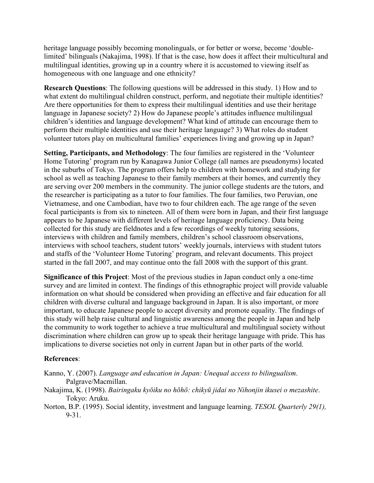heritage language possibly becoming monolinguals, or for better or worse, become 'doublelimited' bilinguals (Nakajima, 1998). If that is the case, how does it affect their multicultural and multilingual identities, growing up in a country where it is accustomed to viewing itself as homogeneous with one language and one ethnicity?

Research Questions: The following questions will be addressed in this study. 1) How and to what extent do multilingual children construct, perform, and negotiate their multiple identities? Are there opportunities for them to express their multilingual identities and use their heritage language in Japanese society? 2) How do Japanese people's attitudes influence multilingual children's identities and language development? What kind of attitude can encourage them to perform their multiple identities and use their heritage language? 3) What roles do student volunteer tutors play on multicultural families' experiences living and growing up in Japan?

Setting, Participants, and Methodology: The four families are registered in the 'Volunteer Home Tutoring' program run by Kanagawa Junior College (all names are pseudonyms) located in the suburbs of Tokyo. The program offers help to children with homework and studying for school as well as teaching Japanese to their family members at their homes, and currently they are serving over 200 members in the community. The junior college students are the tutors, and the researcher is participating as a tutor to four families. The four families, two Peruvian, one Vietnamese, and one Cambodian, have two to four children each. The age range of the seven focal participants is from six to nineteen. All of them were born in Japan, and their first language appears to be Japanese with different levels of heritage language proficiency. Data being collected for this study are fieldnotes and a few recordings of weekly tutoring sessions, interviews with children and family members, children's school classroom observations, interviews with school teachers, student tutors' weekly journals, interviews with student tutors and staffs of the 'Volunteer Home Tutoring' program, and relevant documents. This project started in the fall 2007, and may continue onto the fall 2008 with the support of this grant.

Significance of this Project: Most of the previous studies in Japan conduct only a one-time survey and are limited in context. The findings of this ethnographic project will provide valuable information on what should be considered when providing an effective and fair education for all children with diverse cultural and language background in Japan. It is also important, or more important, to educate Japanese people to accept diversity and promote equality. The findings of this study will help raise cultural and linguistic awareness among the people in Japan and help the community to work together to achieve a true multicultural and multilingual society without discrimination where children can grow up to speak their heritage language with pride. This has implications to diverse societies not only in current Japan but in other parts of the world.

## References:

- Kanno, Y. (2007). Language and education in Japan: Unequal access to bilingualism. Palgrave/Macmillan.
- Nakajima, K. (1998). Bairingaku kyōiku no hōhō: chikyū jidai no Nihonjin ikusei o mezashite. Tokyo: Aruku.
- Norton, B.P. (1995). Social identity, investment and language learning. TESOL Quarterly 29(1), 9-31.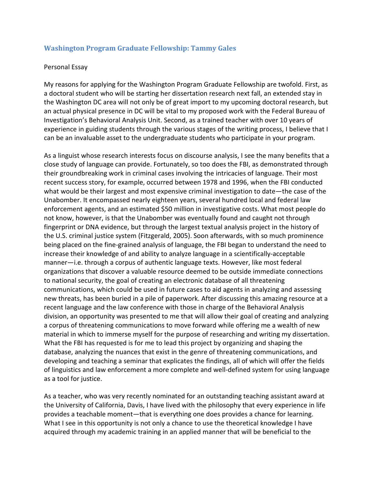## Washington Program Graduate Fellowship: Tammy Gales

#### Personal Essay

My reasons for applying for the Washington Program Graduate Fellowship are twofold. First, as a doctoral student who will be starting her dissertation research next fall, an extended stay in the Washington DC area will not only be of great import to my upcoming doctoral research, but an actual physical presence in DC will be vital to my proposed work with the Federal Bureau of Investigation's Behavioral Analysis Unit. Second, as a trained teacher with over 10 years of experience in guiding students through the various stages of the writing process, I believe that I can be an invaluable asset to the undergraduate students who participate in your program.

As a linguist whose research interests focus on discourse analysis, I see the many benefits that a close study of language can provide. Fortunately, so too does the FBI, as demonstrated through their groundbreaking work in criminal cases involving the intricacies of language. Their most recent success story, for example, occurred between 1978 and 1996, when the FBI conducted what would be their largest and most expensive criminal investigation to date—the case of the Unabomber. It encompassed nearly eighteen years, several hundred local and federal law enforcement agents, and an estimated \$50 million in investigative costs. What most people do not know, however, is that the Unabomber was eventually found and caught not through fingerprint or DNA evidence, but through the largest textual analysis project in the history of the U.S. criminal justice system (Fitzgerald, 2005). Soon afterwards, with so much prominence being placed on the fine-grained analysis of language, the FBI began to understand the need to increase their knowledge of and ability to analyze language in a scientifically-acceptable manner—i.e. through a corpus of authentic language texts. However, like most federal organizations that discover a valuable resource deemed to be outside immediate connections to national security, the goal of creating an electronic database of all threatening communications, which could be used in future cases to aid agents in analyzing and assessing new threats, has been buried in a pile of paperwork. After discussing this amazing resource at a recent language and the law conference with those in charge of the Behavioral Analysis division, an opportunity was presented to me that will allow their goal of creating and analyzing a corpus of threatening communications to move forward while offering me a wealth of new material in which to immerse myself for the purpose of researching and writing my dissertation. What the FBI has requested is for me to lead this project by organizing and shaping the database, analyzing the nuances that exist in the genre of threatening communications, and developing and teaching a seminar that explicates the findings, all of which will offer the fields of linguistics and law enforcement a more complete and well-defined system for using language as a tool for justice.

As a teacher, who was very recently nominated for an outstanding teaching assistant award at the University of California, Davis, I have lived with the philosophy that every experience in life provides a teachable moment—that is everything one does provides a chance for learning. What I see in this opportunity is not only a chance to use the theoretical knowledge I have acquired through my academic training in an applied manner that will be beneficial to the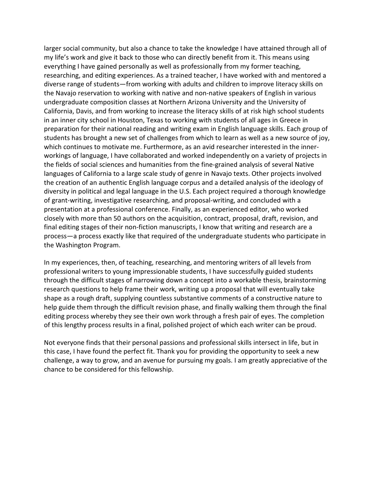larger social community, but also a chance to take the knowledge I have attained through all of my life's work and give it back to those who can directly benefit from it. This means using everything I have gained personally as well as professionally from my former teaching, researching, and editing experiences. As a trained teacher, I have worked with and mentored a diverse range of students—from working with adults and children to improve literacy skills on the Navajo reservation to working with native and non-native speakers of English in various undergraduate composition classes at Northern Arizona University and the University of California, Davis, and from working to increase the literacy skills of at risk high school students in an inner city school in Houston, Texas to working with students of all ages in Greece in preparation for their national reading and writing exam in English language skills. Each group of students has brought a new set of challenges from which to learn as well as a new source of joy, which continues to motivate me. Furthermore, as an avid researcher interested in the innerworkings of language, I have collaborated and worked independently on a variety of projects in the fields of social sciences and humanities from the fine-grained analysis of several Native languages of California to a large scale study of genre in Navajo texts. Other projects involved the creation of an authentic English language corpus and a detailed analysis of the ideology of diversity in political and legal language in the U.S. Each project required a thorough knowledge of grant-writing, investigative researching, and proposal-writing, and concluded with a presentation at a professional conference. Finally, as an experienced editor, who worked closely with more than 50 authors on the acquisition, contract, proposal, draft, revision, and final editing stages of their non-fiction manuscripts, I know that writing and research are a process—a process exactly like that required of the undergraduate students who participate in the Washington Program.

In my experiences, then, of teaching, researching, and mentoring writers of all levels from professional writers to young impressionable students, I have successfully guided students through the difficult stages of narrowing down a concept into a workable thesis, brainstorming research questions to help frame their work, writing up a proposal that will eventually take shape as a rough draft, supplying countless substantive comments of a constructive nature to help guide them through the difficult revision phase, and finally walking them through the final editing process whereby they see their own work through a fresh pair of eyes. The completion of this lengthy process results in a final, polished project of which each writer can be proud.

Not everyone finds that their personal passions and professional skills intersect in life, but in this case, I have found the perfect fit. Thank you for providing the opportunity to seek a new challenge, a way to grow, and an avenue for pursuing my goals. I am greatly appreciative of the chance to be considered for this fellowship.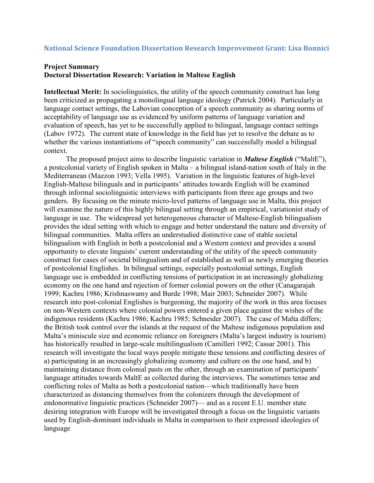## National Science Foundation Dissertation Research Improvement Grant: Lisa Bonnici

## Project Summary Doctoral Dissertation Research: Variation in Maltese English

Intellectual Merit: In sociolinguistics, the utility of the speech community construct has long been criticized as propagating a monolingual language ideology (Patrick 2004). Particularly in language contact settings, the Labovian conception of a speech community as sharing norms of acceptability of language use as evidenced by uniform patterns of language variation and evaluation of speech, has yet to be successfully applied to bilingual, language contact settings (Labov 1972). The current state of knowledge in the field has yet to resolve the debate as to whether the various instantiations of "speech community" can successfully model a bilingual context.

The proposed project aims to describe linguistic variation in *Maltese English* ("MaltE"), a postcolonial variety of English spoken in Malta – a bilingual island-nation south of Italy in the Mediterranean (Mazzon 1993; Vella 1995). Variation in the linguistic features of high-level English-Maltese bilinguals and in participants' attitudes towards English will be examined through informal sociolinguistic interviews with participants from three age groups and two genders. By focusing on the minute micro-level patterns of language use in Malta, this project will examine the nature of this highly bilingual setting through an empirical, variationist study of language in use. The widespread yet heterogeneous character of Maltese-English bilingualism provides the ideal setting with which to engage and better understand the nature and diversity of bilingual communities. Malta offers an understudied distinctive case of stable societal bilingualism with English in both a postcolonial and a Western context and provides a sound opportunity to elevate linguists' current understanding of the utility of the speech community construct for cases of societal bilingualism and of established as well as newly emerging theories of postcolonial Englishes. In bilingual settings, especially postcolonial settings, English language use is embedded in conflicting tensions of participation in an increasingly globalizing economy on the one hand and rejection of former colonial powers on the other (Canagarajah 1999; Kachru 1986; Krishnaswamy and Burde 1998; Mair 2003; Schneider 2007). While research into post-colonial Englishes is burgeoning, the majority of the work in this area focuses on non-Western contexts where colonial powers entered a given place against the wishes of the indigenous residents (Kachru 1986; Kachru 1985; Schneider 2007). The case of Malta differs; the British took control over the islands at the request of the Maltese indigenous population and Malta's miniscule size and economic reliance on foreigners (Malta's largest industry is tourism) has historically resulted in large-scale multilingualism (Camilleri 1992; Cassar 2001). This research will investigate the local ways people mitigate these tensions and conflicting desires of a) participating in an increasingly globalizing economy and culture on the one hand, and b) maintaining distance from colonial pasts on the other, through an examination of participants' language attitudes towards MaltE as collected during the interviews. The sometimes tense and conflicting roles of Malta as both a postcolonial nation—which traditionally have been characterized as distancing themselves from the colonizers through the development of endonormative linguistic practices (Schneider 2007)— and as a recent E.U. member state desiring integration with Europe will be investigated through a focus on the linguistic variants used by English-dominant individuals in Malta in comparison to their expressed ideologies of language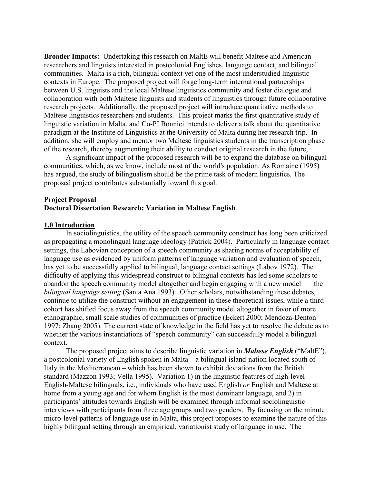Broader Impacts: Undertaking this research on MaltE will benefit Maltese and American researchers and linguists interested in postcolonial Englishes, language contact, and bilingual communities. Malta is a rich, bilingual context yet one of the most understudied linguistic contexts in Europe. The proposed project will forge long-term international partnerships between U.S. linguists and the local Maltese linguistics community and foster dialogue and collaboration with both Maltese linguists and students of linguistics through future collaborative research projects. Additionally, the proposed project will introduce quantitative methods to Maltese linguistics researchers and students. This project marks the first quantitative study of linguistic variation in Malta, and Co-PI Bonnici intends to deliver a talk about the quantitative paradigm at the Institute of Linguistics at the University of Malta during her research trip. In addition, she will employ and mentor two Maltese linguistics students in the transcription phase of the research, thereby augmenting their ability to conduct original research in the future,

 A significant impact of the proposed research will be to expand the database on bilingual communities, which, as we know, include most of the world's population. As Romaine (1995) has argued, the study of bilingualism should be the prime task of modern linguistics. The proposed project contributes substantially toward this goal.

## Project Proposal Doctoral Dissertation Research: Variation in Maltese English

## 1.0 Introduction

In sociolinguistics, the utility of the speech community construct has long been criticized as propagating a monolingual language ideology (Patrick 2004). Particularly in language contact settings, the Labovian conception of a speech community as sharing norms of acceptability of language use as evidenced by uniform patterns of language variation and evaluation of speech, has yet to be successfully applied to bilingual, language contact settings (Labov 1972). The difficulty of applying this widespread construct to bilingual contexts has led some scholars to abandon the speech community model altogether and begin engaging with a new model — the bilingual language setting (Santa Ana 1993). Other scholars, notwithstanding these debates, continue to utilize the construct without an engagement in these theoretical issues, while a third cohort has shifted focus away from the speech community model altogether in favor of more ethnographic, small scale studies of communities of practice (Eckert 2000; Mendoza-Denton 1997; Zhang 2005). The current state of knowledge in the field has yet to resolve the debate as to whether the various instantiations of "speech community" can successfully model a bilingual context.

The proposed project aims to describe linguistic variation in **Maltese English** ("MaltE"), a postcolonial variety of English spoken in Malta – a bilingual island-nation located south of Italy in the Mediterranean – which has been shown to exhibit deviations from the British standard (Mazzon 1993; Vella 1995). Variation 1) in the linguistic features of high-level English-Maltese bilinguals, i.e., individuals who have used English or English and Maltese at home from a young age and for whom English is the most dominant language, and 2) in participants' attitudes towards English will be examined through informal sociolinguistic interviews with participants from three age groups and two genders. By focusing on the minute micro-level patterns of language use in Malta, this project proposes to examine the nature of this highly bilingual setting through an empirical, variationist study of language in use. The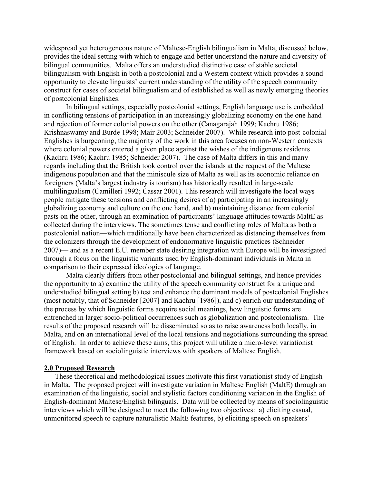widespread yet heterogeneous nature of Maltese-English bilingualism in Malta, discussed below, provides the ideal setting with which to engage and better understand the nature and diversity of bilingual communities. Malta offers an understudied distinctive case of stable societal bilingualism with English in both a postcolonial and a Western context which provides a sound opportunity to elevate linguists' current understanding of the utility of the speech community construct for cases of societal bilingualism and of established as well as newly emerging theories of postcolonial Englishes.

 In bilingual settings, especially postcolonial settings, English language use is embedded in conflicting tensions of participation in an increasingly globalizing economy on the one hand and rejection of former colonial powers on the other (Canagarajah 1999; Kachru 1986; Krishnaswamy and Burde 1998; Mair 2003; Schneider 2007). While research into post-colonial Englishes is burgeoning, the majority of the work in this area focuses on non-Western contexts where colonial powers entered a given place against the wishes of the indigenous residents (Kachru 1986; Kachru 1985; Schneider 2007). The case of Malta differs in this and many regards including that the British took control over the islands at the request of the Maltese indigenous population and that the miniscule size of Malta as well as its economic reliance on foreigners (Malta's largest industry is tourism) has historically resulted in large-scale multilingualism (Camilleri 1992; Cassar 2001). This research will investigate the local ways people mitigate these tensions and conflicting desires of a) participating in an increasingly globalizing economy and culture on the one hand, and b) maintaining distance from colonial pasts on the other, through an examination of participants' language attitudes towards MaltE as collected during the interviews. The sometimes tense and conflicting roles of Malta as both a postcolonial nation—which traditionally have been characterized as distancing themselves from the colonizers through the development of endonormative linguistic practices (Schneider 2007)— and as a recent E.U. member state desiring integration with Europe will be investigated through a focus on the linguistic variants used by English-dominant individuals in Malta in comparison to their expressed ideologies of language.

Malta clearly differs from other postcolonial and bilingual settings, and hence provides the opportunity to a) examine the utility of the speech community construct for a unique and understudied bilingual setting b) test and enhance the dominant models of postcolonial Englishes (most notably, that of Schneider [2007] and Kachru [1986]), and c) enrich our understanding of the process by which linguistic forms acquire social meanings, how linguistic forms are entrenched in larger socio-political occurrences such as globalization and postcolonialism. The results of the proposed research will be disseminated so as to raise awareness both locally, in Malta, and on an international level of the local tensions and negotiations surrounding the spread of English. In order to achieve these aims, this project will utilize a micro-level variationist framework based on sociolinguistic interviews with speakers of Maltese English.

#### 2.0 Proposed Research

These theoretical and methodological issues motivate this first variationist study of English in Malta. The proposed project will investigate variation in Maltese English (MaltE) through an examination of the linguistic, social and stylistic factors conditioning variation in the English of English-dominant Maltese/English bilinguals. Data will be collected by means of sociolinguistic interviews which will be designed to meet the following two objectives: a) eliciting casual, unmonitored speech to capture naturalistic MaltE features, b) eliciting speech on speakers'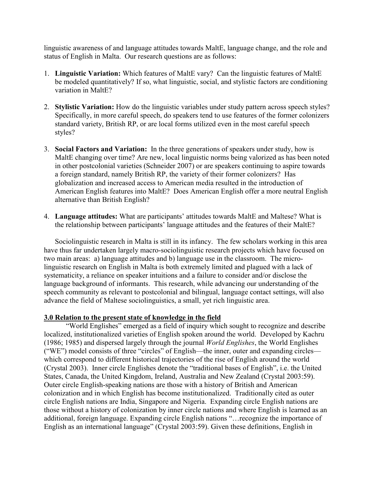linguistic awareness of and language attitudes towards MaltE, language change, and the role and status of English in Malta. Our research questions are as follows:

- 1. Linguistic Variation: Which features of MaltE vary? Can the linguistic features of MaltE be modeled quantitatively? If so, what linguistic, social, and stylistic factors are conditioning variation in MaltE?
- 2. Stylistic Variation: How do the linguistic variables under study pattern across speech styles? Specifically, in more careful speech, do speakers tend to use features of the former colonizers standard variety, British RP, or are local forms utilized even in the most careful speech styles?
- 3. Social Factors and Variation: In the three generations of speakers under study, how is MaltE changing over time? Are new, local linguistic norms being valorized as has been noted in other postcolonial varieties (Schneider 2007) or are speakers continuing to aspire towards a foreign standard, namely British RP, the variety of their former colonizers? Has globalization and increased access to American media resulted in the introduction of American English features into MaltE? Does American English offer a more neutral English alternative than British English?
- 4. Language attitudes: What are participants' attitudes towards MaltE and Maltese? What is the relationship between participants' language attitudes and the features of their MaltE?

Sociolinguistic research in Malta is still in its infancy. The few scholars working in this area have thus far undertaken largely macro-sociolinguistic research projects which have focused on two main areas: a) language attitudes and b) language use in the classroom. The microlinguistic research on English in Malta is both extremely limited and plagued with a lack of systematicity, a reliance on speaker intuitions and a failure to consider and/or disclose the language background of informants. This research, while advancing our understanding of the speech community as relevant to postcolonial and bilingual, language contact settings, will also advance the field of Maltese sociolinguistics, a small, yet rich linguistic area.

## 3.0 Relation to the present state of knowledge in the field

"World Englishes" emerged as a field of inquiry which sought to recognize and describe localized, institutionalized varieties of English spoken around the world. Developed by Kachru (1986; 1985) and dispersed largely through the journal World Englishes, the World Englishes ("WE") model consists of three "circles" of English—the inner, outer and expanding circles which correspond to different historical trajectories of the rise of English around the world (Crystal 2003). Inner circle Englishes denote the "traditional bases of English", i.e. the United States, Canada, the United Kingdom, Ireland, Australia and New Zealand (Crystal 2003:59). Outer circle English-speaking nations are those with a history of British and American colonization and in which English has become institutionalized. Traditionally cited as outer circle English nations are India, Singapore and Nigeria. Expanding circle English nations are those without a history of colonization by inner circle nations and where English is learned as an additional, foreign language. Expanding circle English nations "…recognize the importance of English as an international language" (Crystal 2003:59). Given these definitions, English in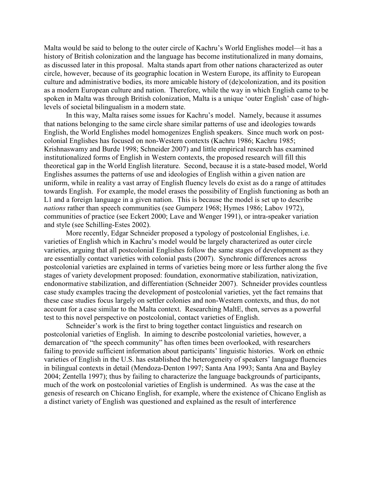Malta would be said to belong to the outer circle of Kachru's World Englishes model—it has a history of British colonization and the language has become institutionalized in many domains, as discussed later in this proposal. Malta stands apart from other nations characterized as outer circle, however, because of its geographic location in Western Europe, its affinity to European culture and administrative bodies, its more amicable history of (de)colonization, and its position as a modern European culture and nation. Therefore, while the way in which English came to be spoken in Malta was through British colonization, Malta is a unique 'outer English' case of highlevels of societal bilingualism in a modern state.

In this way, Malta raises some issues for Kachru's model. Namely, because it assumes that nations belonging to the same circle share similar patterns of use and ideologies towards English, the World Englishes model homogenizes English speakers. Since much work on postcolonial Englishes has focused on non-Western contexts (Kachru 1986; Kachru 1985; Krishnaswamy and Burde 1998; Schneider 2007) and little empirical research has examined institutionalized forms of English in Western contexts, the proposed research will fill this theoretical gap in the World English literature. Second, because it is a state-based model, World Englishes assumes the patterns of use and ideologies of English within a given nation are uniform, while in reality a vast array of English fluency levels do exist as do a range of attitudes towards English. For example, the model erases the possibility of English functioning as both an L1 and a foreign language in a given nation. This is because the model is set up to describe nations rather than speech communities (see Gumperz 1968; Hymes 1986; Labov 1972), communities of practice (see Eckert 2000; Lave and Wenger 1991), or intra-speaker variation and style (see Schilling-Estes 2002).

 More recently, Edgar Schneider proposed a typology of postcolonial Englishes, i.e. varieties of English which in Kachru's model would be largely characterized as outer circle varieties, arguing that all postcolonial Englishes follow the same stages of development as they are essentially contact varieties with colonial pasts (2007). Synchronic differences across postcolonial varieties are explained in terms of varieties being more or less further along the five stages of variety development proposed: foundation, exonormative stabilization, nativization, endonormative stabilization, and differentiation (Schneider 2007). Schneider provides countless case study examples tracing the development of postcolonial varieties, yet the fact remains that these case studies focus largely on settler colonies and non-Western contexts, and thus, do not account for a case similar to the Malta context. Researching MaltE, then, serves as a powerful test to this novel perspective on postcolonial, contact varieties of English.

Schneider's work is the first to bring together contact linguistics and research on postcolonial varieties of English. In aiming to describe postcolonial varieties, however, a demarcation of "the speech community" has often times been overlooked, with researchers failing to provide sufficient information about participants' linguistic histories. Work on ethnic varieties of English in the U.S. has established the heterogeneity of speakers' language fluencies in bilingual contexts in detail (Mendoza-Denton 1997; Santa Ana 1993; Santa Ana and Bayley 2004; Zentella 1997); thus by failing to characterize the language backgrounds of participants, much of the work on postcolonial varieties of English is undermined. As was the case at the genesis of research on Chicano English, for example, where the existence of Chicano English as a distinct variety of English was questioned and explained as the result of interference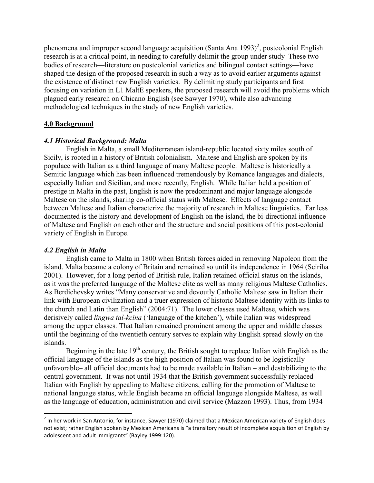phenomena and improper second language acquisition (Santa Ana  $1993)^2$ , postcolonial English research is at a critical point, in needing to carefully delimit the group under study These two bodies of research—literature on postcolonial varieties and bilingual contact settings—have shaped the design of the proposed research in such a way as to avoid earlier arguments against the existence of distinct new English varieties. By delimiting study participants and first focusing on variation in L1 MaltE speakers, the proposed research will avoid the problems which plagued early research on Chicano English (see Sawyer 1970), while also advancing methodological techniques in the study of new English varieties.

## 4.0 Background

## 4.1 Historical Background: Malta

English in Malta, a small Mediterranean island-republic located sixty miles south of Sicily, is rooted in a history of British colonialism. Maltese and English are spoken by its populace with Italian as a third language of many Maltese people. Maltese is historically a Semitic language which has been influenced tremendously by Romance languages and dialects, especially Italian and Sicilian, and more recently, English. While Italian held a position of prestige in Malta in the past, English is now the predominant and major language alongside Maltese on the islands, sharing co-official status with Maltese. Effects of language contact between Maltese and Italian characterize the majority of research in Maltese linguistics. Far less documented is the history and development of English on the island, the bi-directional influence of Maltese and English on each other and the structure and social positions of this post-colonial variety of English in Europe.

## 4.2 English in Malta

.<br>-

English came to Malta in 1800 when British forces aided in removing Napoleon from the island. Malta became a colony of Britain and remained so until its independence in 1964 (Sciriha 2001). However, for a long period of British rule, Italian retained official status on the islands, as it was the preferred language of the Maltese elite as well as many religious Maltese Catholics. As Berdichevsky writes "Many conservative and devoutly Catholic Maltese saw in Italian their link with European civilization and a truer expression of historic Maltese identity with its links to the church and Latin than English" (2004:71). The lower classes used Maltese, which was derisively called *lingwa tal-kcina* ('language of the kitchen'), while Italian was widespread among the upper classes. That Italian remained prominent among the upper and middle classes until the beginning of the twentieth century serves to explain why English spread slowly on the islands.

Beginning in the late  $19<sup>th</sup>$  century, the British sought to replace Italian with English as the official language of the islands as the high position of Italian was found to be logistically unfavorable– all official documents had to be made available in Italian – and destabilizing to the central government. It was not until 1934 that the British government successfully replaced Italian with English by appealing to Maltese citizens, calling for the promotion of Maltese to national language status, while English became an official language alongside Maltese, as well as the language of education, administration and civil service (Mazzon 1993). Thus, from 1934

 $^2$  In her work in San Antonio, for instance, Sawyer (1970) claimed that a Mexican American variety of English does not exist; rather English spoken by Mexican Americans is "a transitory result of incomplete acquisition of English by adolescent and adult immigrants" (Bayley 1999:120).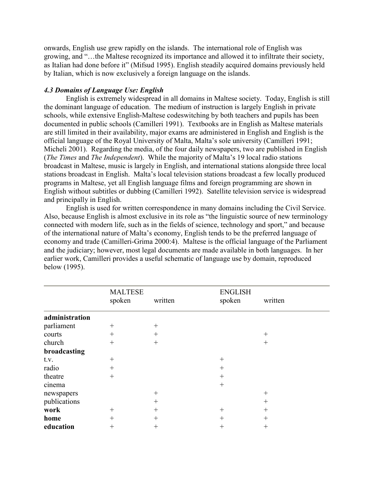onwards, English use grew rapidly on the islands. The international role of English was growing, and "…the Maltese recognized its importance and allowed it to infiltrate their society, as Italian had done before it" (Mifsud 1995). English steadily acquired domains previously held by Italian, which is now exclusively a foreign language on the islands.

## 4.3 Domains of Language Use: English

English is extremely widespread in all domains in Maltese society. Today, English is still the dominant language of education. The medium of instruction is largely English in private schools, while extensive English-Maltese codeswitching by both teachers and pupils has been documented in public schools (Camilleri 1991). Textbooks are in English as Maltese materials are still limited in their availability, major exams are administered in English and English is the official language of the Royal University of Malta, Malta's sole university (Camilleri 1991; Micheli 2001). Regarding the media, of the four daily newspapers, two are published in English (The Times and The Independent). While the majority of Malta's 19 local radio stations broadcast in Maltese, music is largely in English, and international stations alongside three local stations broadcast in English. Malta's local television stations broadcast a few locally produced programs in Maltese, yet all English language films and foreign programming are shown in English without subtitles or dubbing (Camilleri 1992). Satellite television service is widespread and principally in English.

 English is used for written correspondence in many domains including the Civil Service. Also, because English is almost exclusive in its role as "the linguistic source of new terminology connected with modern life, such as in the fields of science, technology and sport," and because of the international nature of Malta's economy, English tends to be the preferred language of economy and trade (Camilleri-Grima 2000:4). Maltese is the official language of the Parliament and the judiciary; however, most legal documents are made available in both languages. In her earlier work, Camilleri provides a useful schematic of language use by domain, reproduced below (1995).

|                | <b>MALTESE</b><br>spoken | written | <b>ENGLISH</b><br>spoken | written |
|----------------|--------------------------|---------|--------------------------|---------|
| administration |                          |         |                          |         |
| parliament     | $^{+}$                   | $^{+}$  |                          |         |
| courts         | $+$                      | $+$     |                          | $^{+}$  |
| church         | $+$                      | $+$     |                          | $^{+}$  |
| broadcasting   |                          |         |                          |         |
| t.v.           | $^{+}$                   |         | $^{+}$                   |         |
| radio          | $^{+}$                   |         | $^{+}$                   |         |
| theatre        | $+$                      |         | $^{+}$                   |         |
| cinema         |                          |         | $^{+}$                   |         |
| newspapers     |                          | $^{+}$  |                          | $^{+}$  |
| publications   |                          | $^{+}$  |                          | $^{+}$  |
| work           | $^{+}$                   | $+$     | $^{+}$                   | $^{+}$  |
| home           | $^{+}$                   | $+$     | $^{+}$                   | $^{+}$  |
| education      | $^{+}$                   | $^{+}$  | $^{+}$                   | $^{+}$  |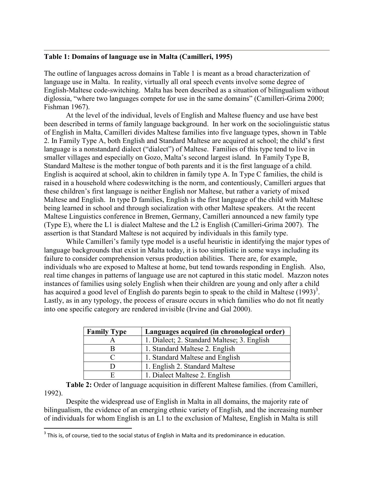## Table 1: Domains of language use in Malta (Camilleri, 1995)

The outline of languages across domains in Table 1 is meant as a broad characterization of language use in Malta. In reality, virtually all oral speech events involve some degree of English-Maltese code-switching. Malta has been described as a situation of bilingualism without diglossia, "where two languages compete for use in the same domains" (Camilleri-Grima 2000; Fishman 1967).

 At the level of the individual, levels of English and Maltese fluency and use have best been described in terms of family language background. In her work on the sociolinguistic status of English in Malta, Camilleri divides Maltese families into five language types, shown in Table 2. In Family Type A, both English and Standard Maltese are acquired at school; the child's first language is a nonstandard dialect ("dialect") of Maltese. Families of this type tend to live in smaller villages and especially on Gozo, Malta's second largest island. In Family Type B, Standard Maltese is the mother tongue of both parents and it is the first language of a child. English is acquired at school, akin to children in family type A. In Type C families, the child is raised in a household where codeswitching is the norm, and contentiously, Camilleri argues that these children's first language is neither English nor Maltese, but rather a variety of mixed Maltese and English. In type D families, English is the first language of the child with Maltese being learned in school and through socialization with other Maltese speakers. At the recent Maltese Linguistics conference in Bremen, Germany, Camilleri announced a new family type (Type E), where the L1 is dialect Maltese and the L2 is English (Camilleri-Grima 2007). The assertion is that Standard Maltese is not acquired by individuals in this family type.

 While Camilleri's family type model is a useful heuristic in identifying the major types of language backgrounds that exist in Malta today, it is too simplistic in some ways including its failure to consider comprehension versus production abilities. There are, for example, individuals who are exposed to Maltese at home, but tend towards responding in English. Also, real time changes in patterns of language use are not captured in this static model. Mazzon notes instances of families using solely English when their children are young and only after a child has acquired a good level of English do parents begin to speak to the child in Maltese  $(1993)^3$ . Lastly, as in any typology, the process of erasure occurs in which families who do not fit neatly into one specific category are rendered invisible (Irvine and Gal 2000).

| <b>Family Type</b> | Languages acquired (in chronological order) |
|--------------------|---------------------------------------------|
|                    | 1. Dialect; 2. Standard Maltese; 3. English |
| В                  | 1. Standard Maltese 2. English              |
|                    | 1. Standard Maltese and English             |
| D                  | 1. English 2. Standard Maltese              |
| E                  | 1. Dialect Maltese 2. English               |

Table 2: Order of language acquisition in different Maltese families. (from Camilleri, 1992).

Despite the widespread use of English in Malta in all domains, the majority rate of bilingualism, the evidence of an emerging ethnic variety of English, and the increasing number of individuals for whom English is an L1 to the exclusion of Maltese, English in Malta is still

.<br>-

 $3$  This is, of course, tied to the social status of English in Malta and its predominance in education.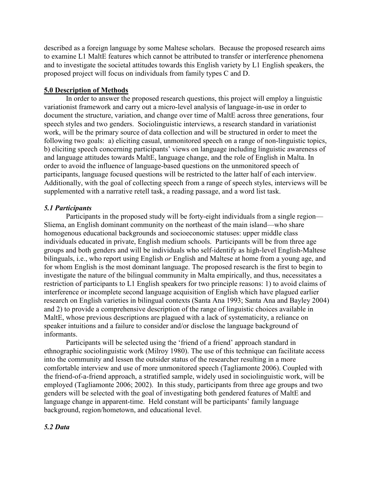described as a foreign language by some Maltese scholars. Because the proposed research aims to examine L1 MaltE features which cannot be attributed to transfer or interference phenomena and to investigate the societal attitudes towards this English variety by L1 English speakers, the proposed project will focus on individuals from family types C and D.

## 5.0 Description of Methods

In order to answer the proposed research questions, this project will employ a linguistic variationist framework and carry out a micro-level analysis of language-in-use in order to document the structure, variation, and change over time of MaltE across three generations, four speech styles and two genders. Sociolinguistic interviews, a research standard in variationist work, will be the primary source of data collection and will be structured in order to meet the following two goals: a) eliciting casual, unmonitored speech on a range of non-linguistic topics, b) eliciting speech concerning participants' views on language including linguistic awareness of and language attitudes towards MaltE, language change, and the role of English in Malta. In order to avoid the influence of language-based questions on the unmonitored speech of participants, language focused questions will be restricted to the latter half of each interview. Additionally, with the goal of collecting speech from a range of speech styles, interviews will be supplemented with a narrative retell task, a reading passage, and a word list task.

## 5.1 Participants

Participants in the proposed study will be forty-eight individuals from a single region— Sliema, an English dominant community on the northeast of the main island—who share homogenous educational backgrounds and socioeconomic statuses: upper middle class individuals educated in private, English medium schools. Participants will be from three age groups and both genders and will be individuals who self-identify as high-level English-Maltese bilinguals, i.e., who report using English *or* English and Maltese at home from a young age, and for whom English is the most dominant language. The proposed research is the first to begin to investigate the nature of the bilingual community in Malta empirically, and thus, necessitates a restriction of participants to L1 English speakers for two principle reasons: 1) to avoid claims of interference or incomplete second language acquisition of English which have plagued earlier research on English varieties in bilingual contexts (Santa Ana 1993; Santa Ana and Bayley 2004) and 2) to provide a comprehensive description of the range of linguistic choices available in MaltE, whose previous descriptions are plagued with a lack of systematicity, a reliance on speaker intuitions and a failure to consider and/or disclose the language background of informants.

Participants will be selected using the 'friend of a friend' approach standard in ethnographic sociolinguistic work (Milroy 1980). The use of this technique can facilitate access into the community and lessen the outsider status of the researcher resulting in a more comfortable interview and use of more unmonitored speech (Tagliamonte 2006). Coupled with the friend-of-a-friend approach, a stratified sample, widely used in sociolinguistic work, will be employed (Tagliamonte 2006; 2002). In this study, participants from three age groups and two genders will be selected with the goal of investigating both gendered features of MaltE and language change in apparent-time. Held constant will be participants' family language background, region/hometown, and educational level.

## 5.2 Data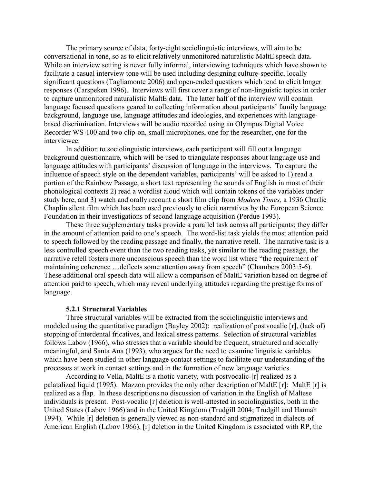The primary source of data, forty-eight sociolinguistic interviews, will aim to be conversational in tone, so as to elicit relatively unmonitored naturalistic MaltE speech data. While an interview setting is never fully informal, interviewing techniques which have shown to facilitate a casual interview tone will be used including designing culture-specific, locally significant questions (Tagliamonte 2006) and open-ended questions which tend to elicit longer responses (Carspeken 1996). Interviews will first cover a range of non-linguistic topics in order to capture unmonitored naturalistic MaltE data. The latter half of the interview will contain language focused questions geared to collecting information about participants' family language background, language use, language attitudes and ideologies, and experiences with languagebased discrimination. Interviews will be audio recorded using an Olympus Digital Voice Recorder WS-100 and two clip-on, small microphones, one for the researcher, one for the interviewee.

In addition to sociolinguistic interviews, each participant will fill out a language background questionnaire, which will be used to triangulate responses about language use and language attitudes with participants' discussion of language in the interviews. To capture the influence of speech style on the dependent variables, participants' will be asked to 1) read a portion of the Rainbow Passage, a short text representing the sounds of English in most of their phonological contexts 2) read a wordlist aloud which will contain tokens of the variables under study here, and 3) watch and orally recount a short film clip from Modern Times, a 1936 Charlie Chaplin silent film which has been used previously to elicit narratives by the European Science Foundation in their investigations of second language acquisition (Perdue 1993).

These three supplementary tasks provide a parallel task across all participants; they differ in the amount of attention paid to one's speech. The word-list task yields the most attention paid to speech followed by the reading passage and finally, the narrative retell. The narrative task is a less controlled speech event than the two reading tasks, yet similar to the reading passage, the narrative retell fosters more unconscious speech than the word list where "the requirement of maintaining coherence …deflects some attention away from speech" (Chambers 2003:5-6). These additional oral speech data will allow a comparison of MaltE variation based on degree of attention paid to speech, which may reveal underlying attitudes regarding the prestige forms of language.

#### 5.2.1 Structural Variables

Three structural variables will be extracted from the sociolinguistic interviews and modeled using the quantitative paradigm (Bayley 2002): realization of postvocalic [r], (lack of) stopping of interdental fricatives, and lexical stress patterns. Selection of structural variables follows Labov (1966), who stresses that a variable should be frequent, structured and socially meaningful, and Santa Ana (1993), who argues for the need to examine linguistic variables which have been studied in other language contact settings to facilitate our understanding of the processes at work in contact settings and in the formation of new language varieties.

 According to Vella, MaltE is a rhotic variety, with postvocalic-[r] realized as a palatalized liquid (1995). Mazzon provides the only other description of MaltE [r]: MaltE [r] is realized as a flap. In these descriptions no discussion of variation in the English of Maltese individuals is present. Post-vocalic [r] deletion is well-attested in sociolinguistics, both in the United States (Labov 1966) and in the United Kingdom (Trudgill 2004; Trudgill and Hannah 1994). While [r] deletion is generally viewed as non-standard and stigmatized in dialects of American English (Labov 1966), [r] deletion in the United Kingdom is associated with RP, the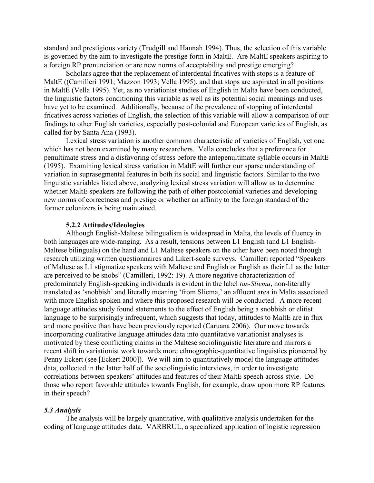standard and prestigious variety (Trudgill and Hannah 1994). Thus, the selection of this variable is governed by the aim to investigate the prestige form in MaltE. Are MaltE speakers aspiring to a foreign RP pronunciation or are new norms of acceptability and prestige emerging?

 Scholars agree that the replacement of interdental fricatives with stops is a feature of MaltE ((Camilleri 1991; Mazzon 1993; Vella 1995), and that stops are aspirated in all positions in MaltE (Vella 1995). Yet, as no variationist studies of English in Malta have been conducted, the linguistic factors conditioning this variable as well as its potential social meanings and uses have yet to be examined. Additionally, because of the prevalence of stopping of interdental fricatives across varieties of English, the selection of this variable will allow a comparison of our findings to other English varieties, especially post-colonial and European varieties of English, as called for by Santa Ana (1993).

 Lexical stress variation is another common characteristic of varieties of English, yet one which has not been examined by many researchers. Vella concludes that a preference for penultimate stress and a disfavoring of stress before the antepenultimate syllable occurs in MaltE (1995). Examining lexical stress variation in MaltE will further our sparse understanding of variation in suprasegmental features in both its social and linguistic factors. Similar to the two linguistic variables listed above, analyzing lexical stress variation will allow us to determine whether MaltE speakers are following the path of other postcolonial varieties and developing new norms of correctness and prestige or whether an affinity to the foreign standard of the former colonizers is being maintained.

#### 5.2.2 Attitudes/Ideologies

Although English-Maltese bilingualism is widespread in Malta, the levels of fluency in both languages are wide-ranging. As a result, tensions between L1 English (and L1 English-Maltese bilinguals) on the hand and L1 Maltese speakers on the other have been noted through research utilizing written questionnaires and Likert-scale surveys. Camilleri reported "Speakers of Maltese as L1 stigmatize speakers with Maltese and English or English as their L1 as the latter are perceived to be snobs" (Camilleri, 1992: 19). A more negative characterization of predominately English-speaking individuals is evident in the label tas-Sliema, non-literally translated as 'snobbish' and literally meaning 'from Sliema,' an affluent area in Malta associated with more English spoken and where this proposed research will be conducted. A more recent language attitudes study found statements to the effect of English being a snobbish or elitist language to be surprisingly infrequent, which suggests that today, attitudes to MaltE are in flux and more positive than have been previously reported (Caruana 2006). Our move towards incorporating qualitative language attitudes data into quantitative variationist analyses is motivated by these conflicting claims in the Maltese sociolinguistic literature and mirrors a recent shift in variationist work towards more ethnographic-quantitative linguistics pioneered by Penny Eckert (see [Eckert 2000]). We will aim to quantitatively model the language attitudes data, collected in the latter half of the sociolinguistic interviews, in order to investigate correlations between speakers' attitudes and features of their MaltE speech across style. Do those who report favorable attitudes towards English, for example, draw upon more RP features in their speech?

#### 5.3 Analysis

The analysis will be largely quantitative, with qualitative analysis undertaken for the coding of language attitudes data. VARBRUL, a specialized application of logistic regression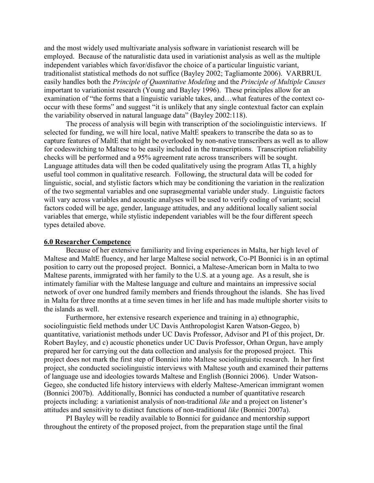and the most widely used multivariate analysis software in variationist research will be employed. Because of the naturalistic data used in variationist analysis as well as the multiple independent variables which favor/disfavor the choice of a particular linguistic variant, traditionalist statistical methods do not suffice (Bayley 2002; Tagliamonte 2006). VARBRUL easily handles both the Principle of Quantitative Modeling and the Principle of Multiple Causes important to variationist research (Young and Bayley 1996). These principles allow for an examination of "the forms that a linguistic variable takes, and…what features of the context cooccur with these forms" and suggest "it is unlikely that any single contextual factor can explain the variability observed in natural language data" (Bayley 2002:118).

The process of analysis will begin with transcription of the sociolinguistic interviews. If selected for funding, we will hire local, native MaltE speakers to transcribe the data so as to capture features of MaltE that might be overlooked by non-native transcribers as well as to allow for codeswitching to Maltese to be easily included in the transcriptions. Transcription reliability checks will be performed and a 95% agreement rate across transcribers will be sought. Language attitudes data will then be coded qualitatively using the program Atlas TI, a highly useful tool common in qualitative research. Following, the structural data will be coded for linguistic, social, and stylistic factors which may be conditioning the variation in the realization of the two segmental variables and one suprasegmental variable under study. Linguistic factors will vary across variables and acoustic analyses will be used to verify coding of variant; social factors coded will be age, gender, language attitudes, and any additional locally salient social variables that emerge, while stylistic independent variables will be the four different speech types detailed above.

#### 6.0 Researcher Competence

Because of her extensive familiarity and living experiences in Malta, her high level of Maltese and MaltE fluency, and her large Maltese social network, Co-PI Bonnici is in an optimal position to carry out the proposed project. Bonnici, a Maltese-American born in Malta to two Maltese parents, immigrated with her family to the U.S. at a young age. As a result, she is intimately familiar with the Maltese language and culture and maintains an impressive social network of over one hundred family members and friends throughout the islands. She has lived in Malta for three months at a time seven times in her life and has made multiple shorter visits to the islands as well.

Furthermore, her extensive research experience and training in a) ethnographic, sociolinguistic field methods under UC Davis Anthropologist Karen Watson-Gegeo, b) quantitative, variationist methods under UC Davis Professor, Advisor and PI of this project, Dr. Robert Bayley, and c) acoustic phonetics under UC Davis Professor, Orhan Orgun, have amply prepared her for carrying out the data collection and analysis for the proposed project. This project does not mark the first step of Bonnici into Maltese sociolinguistic research. In her first project, she conducted sociolinguistic interviews with Maltese youth and examined their patterns of language use and ideologies towards Maltese and English (Bonnici 2006). Under Watson-Gegeo, she conducted life history interviews with elderly Maltese-American immigrant women (Bonnici 2007b). Additionally, Bonnici has conducted a number of quantitative research projects including: a variationist analysis of non-traditional like and a project on listener's attitudes and sensitivity to distinct functions of non-traditional like (Bonnici 2007a).

PI Bayley will be readily available to Bonnici for guidance and mentorship support throughout the entirety of the proposed project, from the preparation stage until the final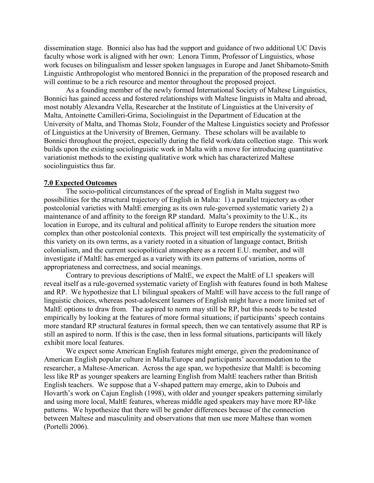dissemination stage. Bonnici also has had the support and guidance of two additional UC Davis faculty whose work is aligned with her own: Lenora Timm, Professor of Linguistics, whose work focuses on bilingualism and lesser spoken languages in Europe and Janet Shibamoto-Smith Linguistic Anthropologist who mentored Bonnici in the preparation of the proposed research and will continue to be a rich resource and mentor throughout the proposed project.

As a founding member of the newly formed International Society of Maltese Linguistics, Bonnici has gained access and fostered relationships with Maltese linguists in Malta and abroad, most notably Alexandra Vella, Researcher at the Institute of Linguistics at the University of Malta, Antoinette Camilleri-Grima, Sociolinguist in the Department of Education at the University of Malta, and Thomas Stolz, Founder of the Maltese Linguistics society and Professor of Linguistics at the University of Bremen, Germany. These scholars will be available to Bonnici throughout the project, especially during the field work/data collection stage. This work builds upon the existing sociolinguistic work in Malta with a move for introducing quantitative variationist methods to the existing qualitative work which has characterized Maltese sociolinguistics thus far.

## 7.0 Expected Outcomes

The socio-political circumstances of the spread of English in Malta suggest two possibilities for the structural trajectory of English in Malta: 1) a parallel trajectory as other postcolonial varieties with MaltE emerging as its own rule-governed systematic variety 2) a maintenance of and affinity to the foreign RP standard. Malta's proximity to the U.K., its location in Europe, and its cultural and political affinity to Europe renders the situation more complex than other postcolonial contexts. This project will test empirically the systematicity of this variety on its own terms, as a variety rooted in a situation of language contact, British colonialism, and the current sociopolitical atmosphere as a recent E.U. member, and will investigate if MaltE has emerged as a variety with its own patterns of variation, norms of appropriateness and correctness, and social meanings.

 Contrary to previous descriptions of MaltE, we expect the MaltE of L1 speakers will reveal itself as a rule-governed systematic variety of English with features found in both Maltese and RP. We hypothesize that L1 bilingual speakers of MaltE will have access to the full range of linguistic choices, whereas post-adolescent learners of English might have a more limited set of MaltE options to draw from. The aspired to norm may still be RP, but this needs to be tested empirically by looking at the features of more formal situations; if participants' speech contains more standard RP structural features in formal speech, then we can tentatively assume that RP is still an aspired to norm. If this is the case, then in less formal situations, participants will likely exhibit more local features.

 We expect some American English features might emerge, given the predominance of American English popular culture in Malta/Europe and participants' accommodation to the researcher, a Maltese-American. Across the age span, we hypothesize that MaltE is becoming less like RP as younger speakers are learning English from MaltE teachers rather than British English teachers. We suppose that a V-shaped pattern may emerge, akin to Dubois and Hovarth's work on Cajun English (1998), with older and younger speakers patterning similarly and using more local, MaltE features, whereas middle aged speakers may have more RP-like patterns. We hypothesize that there will be gender differences because of the connection between Maltese and masculinity and observations that men use more Maltese than women (Portelli 2006).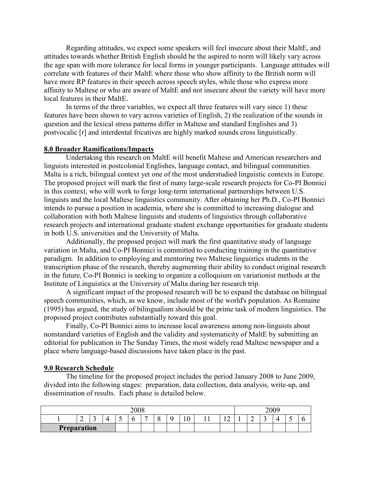Regarding attitudes, we expect some speakers will feel insecure about their MaltE, and attitudes towards whether British English should be the aspired to norm will likely vary across the age span with more tolerance for local forms in younger participants. Language attitudes will correlate with features of their MaltE where those who show affinity to the British norm will have more RP features in their speech across speech styles, while those who express more affinity to Maltese or who are aware of MaltE and not insecure about the variety will have more local features in their MaltE.

In terms of the three variables, we expect all three features will vary since 1) these features have been shown to vary across varieties of English, 2) the realization of the sounds in question and the lexical stress patterns differ in Maltese and standard Englishes and 3) postvocalic [r] and interdental fricatives are highly marked sounds cross linguistically.

#### 8.0 Broader Ramifications/Impacts

Undertaking this research on MaltE will benefit Maltese and American researchers and linguists interested in postcolonial Englishes, language contact, and bilingual communities. Malta is a rich, bilingual context yet one of the most understudied linguistic contexts in Europe. The proposed project will mark the first of many large-scale research projects for Co-PI Bonnici in this context, who will work to forge long-term international partnerships between U.S. linguists and the local Maltese linguistics community. After obtaining her Ph.D., Co-PI Bonnici intends to pursue a position in academia, where she is committed to increasing dialogue and collaboration with both Maltese linguists and students of linguistics through collaborative research projects and international graduate student exchange opportunities for graduate students in both U.S. universities and the University of Malta.

Additionally, the proposed project will mark the first quantitative study of language variation in Malta, and Co-PI Bonnici is committed to conducting training in the quantitative paradigm. In addition to employing and mentoring two Maltese linguistics students in the transcription phase of the research, thereby augmenting their ability to conduct original research in the future, Co-PI Bonnici is seeking to organize a colloquium on variationist methods at the Institute of Linguistics at the University of Malta during her research trip.

A significant impact of the proposed research will be to expand the database on bilingual speech communities, which, as we know, include most of the world's population. As Romaine (1995) has argued, the study of bilingualism should be the prime task of modern linguistics. The proposed project contributes substantially toward this goal.

Finally, Co-PI Bonnici aims to increase local awareness among non-linguists about nonstandard varieties of English and the validity and systematicity of MaltE by submitting an editorial for publication in The Sunday Times, the most widely read Maltese newspaper and a place where language-based discussions have taken place in the past.

#### 9.0 Research Schedule

The timeline for the proposed project includes the period January 2008 to June 2009, divided into the following stages: preparation, data collection, data analysis, write-up, and dissemination of results. Each phase is detailed below.

| 2008               |        |                               |   |     |  |   |   |             | 2009                       |    |        |        |   |  |
|--------------------|--------|-------------------------------|---|-----|--|---|---|-------------|----------------------------|----|--------|--------|---|--|
|                    | ∽<br>∼ | ⌒<br>$\overline{\phantom{0}}$ | ட | . . |  | - | ບ | $\sim$<br>◡ | $\overline{0}$<br><b>.</b> | -- | -<br>- | -<br>- | ▱ |  |
| <b>Preparation</b> |        |                               |   |     |  |   |   |             |                            |    |        |        |   |  |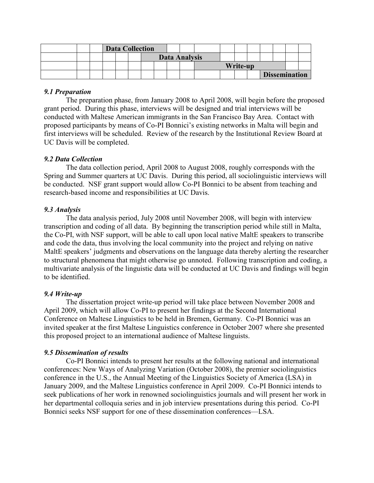|  | <b>Data Collection</b> |  |  |                      |  |  |          |  |  |  |  |  |                      |  |
|--|------------------------|--|--|----------------------|--|--|----------|--|--|--|--|--|----------------------|--|
|  |                        |  |  | <b>Data Analysis</b> |  |  |          |  |  |  |  |  |                      |  |
|  |                        |  |  |                      |  |  | Write-up |  |  |  |  |  |                      |  |
|  |                        |  |  |                      |  |  |          |  |  |  |  |  | <b>Dissemination</b> |  |

## 9.1 Preparation

The preparation phase, from January 2008 to April 2008, will begin before the proposed grant period. During this phase, interviews will be designed and trial interviews will be conducted with Maltese American immigrants in the San Francisco Bay Area. Contact with proposed participants by means of Co-PI Bonnici's existing networks in Malta will begin and first interviews will be scheduled. Review of the research by the Institutional Review Board at UC Davis will be completed.

## 9.2 Data Collection

The data collection period, April 2008 to August 2008, roughly corresponds with the Spring and Summer quarters at UC Davis. During this period, all sociolinguistic interviews will be conducted. NSF grant support would allow Co-PI Bonnici to be absent from teaching and research-based income and responsibilities at UC Davis.

## 9.3 Analysis

The data analysis period, July 2008 until November 2008, will begin with interview transcription and coding of all data. By beginning the transcription period while still in Malta, the Co-PI, with NSF support, will be able to call upon local native MaltE speakers to transcribe and code the data, thus involving the local community into the project and relying on native MaltE speakers' judgments and observations on the language data thereby alerting the researcher to structural phenomena that might otherwise go unnoted. Following transcription and coding, a multivariate analysis of the linguistic data will be conducted at UC Davis and findings will begin to be identified.

## 9.4 Write-up

 The dissertation project write-up period will take place between November 2008 and April 2009, which will allow Co-PI to present her findings at the Second International Conference on Maltese Linguistics to be held in Bremen, Germany. Co-PI Bonnici was an invited speaker at the first Maltese Linguistics conference in October 2007 where she presented this proposed project to an international audience of Maltese linguists.

## 9.5 Dissemination of results

Co-PI Bonnici intends to present her results at the following national and international conferences: New Ways of Analyzing Variation (October 2008), the premier sociolinguistics conference in the U.S., the Annual Meeting of the Linguistics Society of America (LSA) in January 2009, and the Maltese Linguistics conference in April 2009. Co-PI Bonnici intends to seek publications of her work in renowned sociolinguistics journals and will present her work in her departmental colloquia series and in job interview presentations during this period. Co-PI Bonnici seeks NSF support for one of these dissemination conferences—LSA.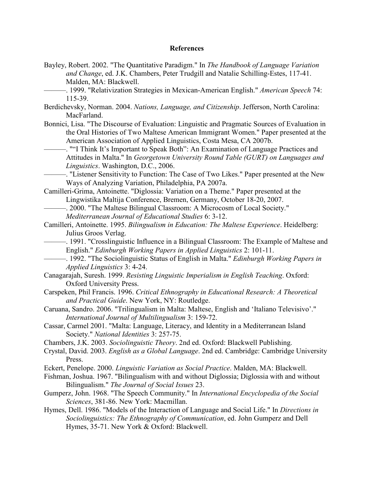#### References

Bayley, Robert. 2002. "The Quantitative Paradigm." In The Handbook of Language Variation and Change, ed. J.K. Chambers, Peter Trudgill and Natalie Schilling-Estes, 117-41. Malden, MA: Blackwell.

-. 1999. "Relativization Strategies in Mexican-American English." *American Speech* 74: 115-39.

Berdichevsky, Norman. 2004. Nations, Language, and Citizenship. Jefferson, North Carolina: MacFarland.

- Bonnici, Lisa. "The Discourse of Evaluation: Linguistic and Pragmatic Sources of Evaluation in the Oral Histories of Two Maltese American Immigrant Women." Paper presented at the American Association of Applied Linguistics, Costa Mesa, CA 2007b.
	- ———. ""I Think It's Important to Speak Both": An Examination of Language Practices and Attitudes in Malta." In Georgetown University Round Table (GURT) on Languages and Linguistics. Washington, D.C., 2006.

-. "Listener Sensitivity to Function: The Case of Two Likes." Paper presented at the New Ways of Analyzing Variation, Philadelphia, PA 2007a.

- Camilleri-Grima, Antoinette. "Diglossia: Variation on a Theme." Paper presented at the Lingwistika Maltija Conference, Bremen, Germany, October 18-20, 2007.
	- -. 2000. "The Maltese Bilingual Classroom: A Microcosm of Local Society." Mediterranean Journal of Educational Studies 6: 3-12.
- Camilleri, Antoinette. 1995. Bilingualism in Education: The Maltese Experience. Heidelberg: Julius Groos Verlag.
- ———. 1991. "Crosslinguistic Influence in a Bilingual Classroom: The Example of Maltese and English." Edinburgh Working Papers in Applied Linguistics 2: 101-11.
	- -. 1992. "The Sociolinguistic Status of English in Malta." *Edinburgh Working Papers in* Applied Linguistics 3: 4-24.
- Canagarajah, Suresh. 1999. Resisting Linguistic Imperialism in English Teaching. Oxford: Oxford University Press.
- Carspeken, Phil Francis. 1996. Critical Ethnography in Educational Research: A Theoretical and Practical Guide. New York, NY: Routledge.
- Caruana, Sandro. 2006. "Trilingualism in Malta: Maltese, English and 'Italiano Televisivo'." International Journal of Multilingualism 3: 159-72.
- Cassar, Carmel 2001. "Malta: Language, Literacy, and Identity in a Mediterranean Island Society." National Identities 3: 257-75.
- Chambers, J.K. 2003. Sociolinguistic Theory. 2nd ed. Oxford: Blackwell Publishing.
- Crystal, David. 2003. English as a Global Language. 2nd ed. Cambridge: Cambridge University Press.
- Eckert, Penelope. 2000. Linguistic Variation as Social Practice. Malden, MA: Blackwell.
- Fishman, Joshua. 1967. "Bilingualism with and without Diglossia; Diglossia with and without Bilingualism." The Journal of Social Issues 23.

Gumperz, John. 1968. "The Speech Community." In International Encyclopedia of the Social Sciences, 381-86. New York: Macmillan.

Hymes, Dell. 1986. "Models of the Interaction of Language and Social Life." In Directions in Sociolinguistics: The Ethnography of Communication, ed. John Gumperz and Dell Hymes, 35-71. New York & Oxford: Blackwell.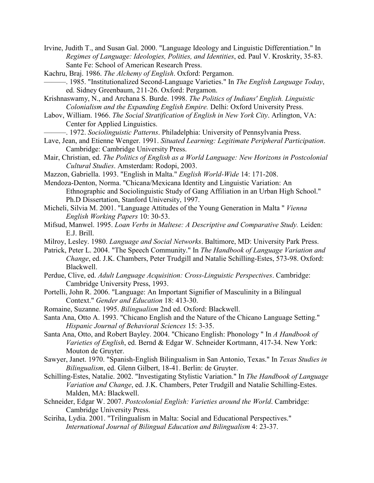Irvine, Judith T., and Susan Gal. 2000. "Language Ideology and Linguistic Differentiation." In Regimes of Language: Ideologies, Polities, and Identities, ed. Paul V. Kroskrity, 35-83. Sante Fe: School of American Research Press.

Kachru, Braj. 1986. The Alchemy of English. Oxford: Pergamon.

-. 1985. "Institutionalized Second-Language Varieties." In The English Language Today, ed. Sidney Greenbaum, 211-26. Oxford: Pergamon.

Krishnaswamy, N., and Archana S. Burde. 1998. The Politics of Indians' English. Linguistic Colonialism and the Expanding English Empire. Delhi: Oxford University Press.

- Labov, William. 1966. The Social Stratification of English in New York City. Arlington, VA: Center for Applied Linguistics.
	- -. 1972. Sociolinguistic Patterns. Philadelphia: University of Pennsylvania Press.
- Lave, Jean, and Etienne Wenger. 1991. Situated Learning: Legitimate Peripheral Participation. Cambridge: Cambridge University Press.
- Mair, Christian, ed. The Politics of English as a World Language: New Horizons in Postcolonial Cultural Studies. Amsterdam: Rodopi, 2003.
- Mazzon, Gabriella. 1993. "English in Malta." English World-Wide 14: 171-208.
- Mendoza-Denton, Norma. "Chicana/Mexicana Identity and Linguistic Variation: An Ethnographic and Sociolinguistic Study of Gang Affiliation in an Urban High School." Ph.D Dissertation, Stanford University, 1997.
- Micheli, Silvia M. 2001. "Language Attitudes of the Young Generation in Malta " Vienna English Working Papers 10: 30-53.
- Mifsud, Manwel. 1995. Loan Verbs in Maltese: A Descriptive and Comparative Study. Leiden: E.J. Brill.
- Milroy, Lesley. 1980. Language and Social Networks. Baltimore, MD: University Park Press.
- Patrick, Peter L. 2004. "The Speech Community." In The Handbook of Language Variation and Change, ed. J.K. Chambers, Peter Trudgill and Natalie Schilling-Estes, 573-98. Oxford: Blackwell.
- Perdue, Clive, ed. Adult Language Acquisition: Cross-Linguistic Perspectives. Cambridge: Cambridge University Press, 1993.
- Portelli, John R. 2006. "Language: An Important Signifier of Masculinity in a Bilingual Context." Gender and Education 18: 413-30.
- Romaine, Suzanne. 1995. Bilingualism 2nd ed. Oxford: Blackwell.
- Santa Ana, Otto A. 1993. "Chicano English and the Nature of the Chicano Language Setting." Hispanic Journal of Behavioral Sciences 15: 3-35.
- Santa Ana, Otto, and Robert Bayley. 2004. "Chicano English: Phonology " In A Handbook of Varieties of English, ed. Bernd & Edgar W. Schneider Kortmann, 417-34. New York: Mouton de Gruyter.
- Sawyer, Janet. 1970. "Spanish-English Bilingualism in San Antonio, Texas." In Texas Studies in Bilingualism, ed. Glenn Gilbert, 18-41. Berlin: de Gruyter.
- Schilling-Estes, Natalie. 2002. "Investigating Stylistic Variation." In The Handbook of Language Variation and Change, ed. J.K. Chambers, Peter Trudgill and Natalie Schilling-Estes. Malden, MA: Blackwell.
- Schneider, Edgar W. 2007. Postcolonial English: Varieties around the World. Cambridge: Cambridge University Press.
- Sciriha, Lydia. 2001. "Trilingualism in Malta: Social and Educational Perspectives." International Journal of Bilingual Education and Bilingualism 4: 23-37.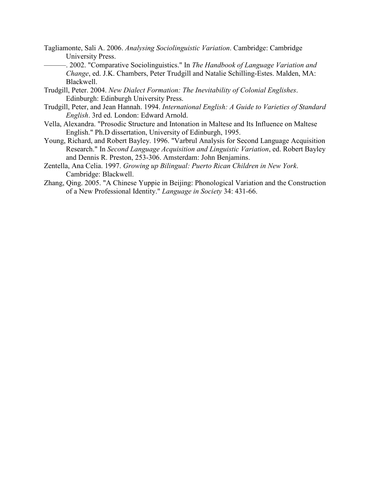- Tagliamonte, Sali A. 2006. Analysing Sociolinguistic Variation. Cambridge: Cambridge University Press.
	- -. 2002. "Comparative Sociolinguistics." In The Handbook of Language Variation and Change, ed. J.K. Chambers, Peter Trudgill and Natalie Schilling-Estes. Malden, MA: Blackwell.
- Trudgill, Peter. 2004. New Dialect Formation: The Inevitability of Colonial Englishes. Edinburgh: Edinburgh University Press.
- Trudgill, Peter, and Jean Hannah. 1994. International English: A Guide to Varieties of Standard English. 3rd ed. London: Edward Arnold.
- Vella, Alexandra. "Prosodic Structure and Intonation in Maltese and Its Influence on Maltese English." Ph.D dissertation, University of Edinburgh, 1995.
- Young, Richard, and Robert Bayley. 1996. "Varbrul Analysis for Second Language Acquisition Research." In Second Language Acquisition and Linguistic Variation, ed. Robert Bayley and Dennis R. Preston, 253-306. Amsterdam: John Benjamins.
- Zentella, Ana Celia. 1997. Growing up Bilingual: Puerto Rican Children in New York. Cambridge: Blackwell.
- Zhang, Qing. 2005. "A Chinese Yuppie in Beijing: Phonological Variation and the Construction of a New Professional Identity." Language in Society 34: 431-66.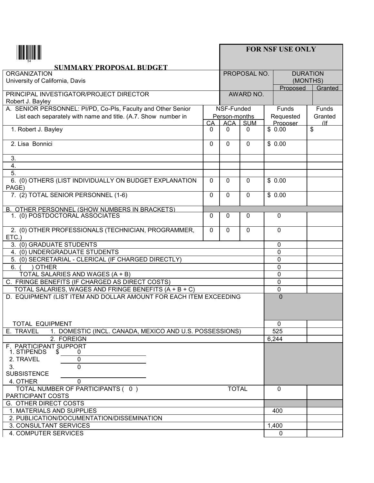|                                                                                                          |          |               |              | <b>FOR NSF USE ONLY</b> |                     |         |
|----------------------------------------------------------------------------------------------------------|----------|---------------|--------------|-------------------------|---------------------|---------|
| <b>SUMMARY PROPOSAL BUDGET</b>                                                                           |          |               |              |                         |                     |         |
| <b>ORGANIZATION</b>                                                                                      |          |               | PROPOSAL NO. |                         | <b>DURATION</b>     |         |
| University of California, Davis                                                                          |          |               |              | (MONTHS)<br>Proposed    | Granted             |         |
| PRINCIPAL INVESTIGATOR/PROJECT DIRECTOR                                                                  |          |               | AWARD NO.    |                         |                     |         |
| Robert J. Bayley                                                                                         |          |               |              |                         |                     |         |
| A. SENIOR PERSONNEL: PI/PD, Co-Pls, Faculty and Other Senior                                             |          | NSF-Funded    |              |                         | Funds               | Funds   |
| List each separately with name and title. (A.7. Show number in                                           |          | Person-months |              |                         | Requested           | Granted |
|                                                                                                          | CA       | <b>ACA</b>    | <b>SUM</b>   |                         | Proposer            | (lf     |
| 1. Robert J. Bayley                                                                                      | 0        | $\mathbf{0}$  | 0            | $\bar{\$}$ 0.00         |                     | \$      |
| 2. Lisa Bonnici                                                                                          | $\Omega$ | $\Omega$      | $\Omega$     |                         | \$0.00              |         |
| 3.                                                                                                       |          |               |              |                         |                     |         |
| $\boldsymbol{4}$ .                                                                                       |          |               |              |                         |                     |         |
| 5.                                                                                                       |          |               |              |                         |                     |         |
| 6. (0) OTHERS (LIST INDIVIDUALLY ON BUDGET EXPLANATION<br>PAGE)                                          | $\Omega$ | 0             | $\mathbf{0}$ | \$0.00                  |                     |         |
| 7. (2) TOTAL SENIOR PERSONNEL (1-6)                                                                      | $\Omega$ | $\Omega$      | $\Omega$     | \$0.00                  |                     |         |
| B. OTHER PERSONNEL (SHOW NUMBERS IN BRACKETS)                                                            |          |               |              |                         |                     |         |
| 1. (0) POSTDOCTORAL ASSOCIATES                                                                           | $\Omega$ | 0             | 0            |                         | 0                   |         |
| 2. (0) OTHER PROFESSIONALS (TECHNICIAN, PROGRAMMER,<br>ETC.)                                             | $\Omega$ | 0             | $\mathbf 0$  |                         | 0                   |         |
| 3. (0) GRADUATE STUDENTS                                                                                 |          |               |              |                         | 0                   |         |
| 4. (0) UNDERGRADUATE STUDENTS                                                                            |          |               |              |                         | 0                   |         |
| (0) SECRETARIAL - CLERICAL (IF CHARGED DIRECTLY)<br>5.                                                   |          |               |              |                         | 0                   |         |
| 6.<br><b>OTHER</b>                                                                                       |          |               |              |                         | 0                   |         |
| TOTAL SALARIES AND WAGES (A + B)                                                                         |          |               |              |                         | 0                   |         |
| C. FRINGE BENEFITS (IF CHARGED AS DIRECT COSTS)<br>TOTAL SALARIES, WAGES AND FRINGE BENEFITS (A + B + C) |          |               |              |                         | 0                   |         |
| D. EQUIPMENT (LIST ITEM AND DOLLAR AMOUNT FOR EACH ITEM EXCEEDING                                        |          |               |              |                         | 0<br>$\overline{0}$ |         |
|                                                                                                          |          |               |              |                         |                     |         |
| TOTAL EQUIPMENT                                                                                          |          |               |              |                         | $\mathbf{0}$        |         |
| E. TRAVEL<br>1. DOMESTIC (INCL. CANADA, MEXICO AND U.S. POSSESSIONS)                                     |          |               |              |                         | 525                 |         |
| 2. FOREIGN                                                                                               |          |               |              | 6,244                   |                     |         |
| F. PARTICIPANT SUPPORT<br>1. STIPENDS<br>\$<br>0                                                         |          |               |              |                         |                     |         |
| 2. TRAVEL<br>0                                                                                           |          |               |              |                         |                     |         |
| 0<br>3.<br><b>SUBSISTENCE</b>                                                                            |          |               |              |                         |                     |         |
| 4. OTHER<br>0                                                                                            |          |               |              |                         |                     |         |
| TOTAL NUMBER OF PARTICIPANTS (0)                                                                         |          | <b>TOTAL</b>  |              |                         | $\mathbf 0$         |         |
| PARTICIPANT COSTS                                                                                        |          |               |              |                         |                     |         |
| G. OTHER DIRECT COSTS                                                                                    |          |               |              |                         |                     |         |
| 1. MATERIALS AND SUPPLIES                                                                                |          |               |              |                         | 400                 |         |
| 2. PUBLICATION/DOCUMENTATION/DISSEMINATION                                                               |          |               |              |                         |                     |         |
| 3. CONSULTANT SERVICES                                                                                   |          |               |              | 1,400                   |                     |         |
| 4. COMPUTER SERVICES                                                                                     |          |               |              |                         | 0                   |         |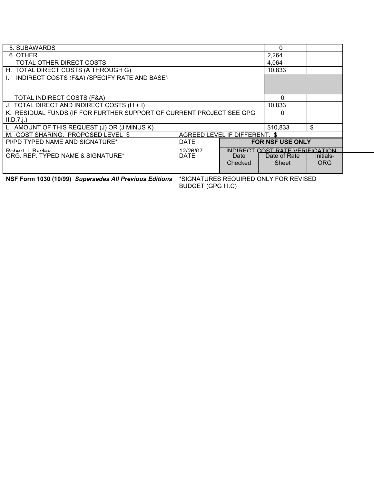| 5. SUBAWARDS                                                         |             |                                 | 0                       |            |  |
|----------------------------------------------------------------------|-------------|---------------------------------|-------------------------|------------|--|
| 6. OTHER                                                             | 2,264       |                                 |                         |            |  |
| TOTAL OTHER DIRECT COSTS                                             |             |                                 | 4,064                   |            |  |
| H. TOTAL DIRECT COSTS (A THROUGH G)                                  | 10,833      |                                 |                         |            |  |
| INDIRECT COSTS (F&A) (SPECIFY RATE AND BASE)                         |             |                                 |                         |            |  |
|                                                                      |             |                                 |                         |            |  |
|                                                                      |             |                                 |                         |            |  |
| <b>TOTAL INDIRECT COSTS (F&amp;A)</b>                                |             |                                 | 0                       |            |  |
| J. TOTAL DIRECT AND INDIRECT COSTS (H + I)                           | 10,833      |                                 |                         |            |  |
| K. RESIDUAL FUNDS (IF FOR FURTHER SUPPORT OF CURRENT PROJECT SEE GPG |             |                                 | 0                       |            |  |
| $II.D.7.$ $i.)$                                                      |             |                                 |                         |            |  |
| L. AMOUNT OF THIS REQUEST (J) OR (J MINUS K)                         |             |                                 | \$10,833                | \$         |  |
| M. COST SHARING: PROPOSED LEVEL \$                                   |             | AGREED LEVEL IF DIFFERENT: \$   |                         |            |  |
| PI/PD TYPED NAME AND SIGNATURE*                                      | <b>DATE</b> |                                 | <b>FOR NSF USE ONLY</b> |            |  |
| Robert   Rayley                                                      | 12/26/07    | INDIRECT COST RATE VERIFICATION |                         |            |  |
| ORG. REP. TYPED NAME & SIGNATURE*                                    | <b>DATE</b> | Date                            | Date of Rate            | Initials-  |  |
|                                                                      |             | Checked                         | Sheet                   | <b>ORG</b> |  |
|                                                                      |             |                                 |                         |            |  |

**NSF Form 1030 (10/99) Supersedes All Previous Editions \*SIGNATURES REQUIRED ONLY FOR REVISED** 

BUDGET (GPG III.C)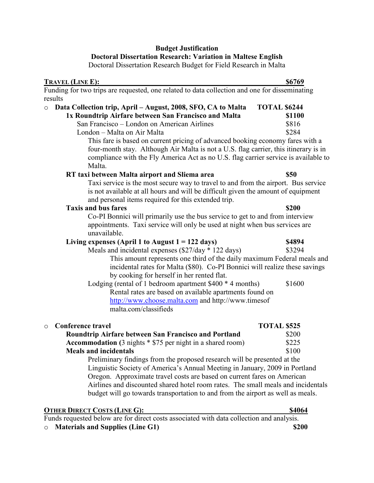## Budget Justification

### Doctoral Dissertation Research: Variation in Maltese English

Doctoral Dissertation Research Budget for Field Research in Malta

| TRAVEL (LINE E):                                                                                                                                                                                                               | \$6769              |
|--------------------------------------------------------------------------------------------------------------------------------------------------------------------------------------------------------------------------------|---------------------|
| Funding for two trips are requested, one related to data collection and one for disseminating                                                                                                                                  |                     |
| results                                                                                                                                                                                                                        |                     |
| Data Collection trip, April - August, 2008, SFO, CA to Malta<br>$\circ$                                                                                                                                                        | <b>TOTAL \$6244</b> |
| 1x Roundtrip Airfare between San Francisco and Malta                                                                                                                                                                           | <b>\$1100</b>       |
| San Francisco - London on American Airlines                                                                                                                                                                                    | \$816               |
| London - Malta on Air Malta                                                                                                                                                                                                    | \$284               |
| This fare is based on current pricing of advanced booking economy fares with a<br>four-month stay. Although Air Malta is not a U.S. flag carrier, this itinerary is in                                                         |                     |
| compliance with the Fly America Act as no U.S. flag carrier service is available to                                                                                                                                            |                     |
| Malta.                                                                                                                                                                                                                         |                     |
| RT taxi between Malta airport and Sliema area                                                                                                                                                                                  | <b>\$50</b>         |
| Taxi service is the most secure way to travel to and from the airport. Bus service<br>is not available at all hours and will be difficult given the amount of equipment<br>and personal items required for this extended trip. |                     |
| <b>Taxis and bus fares</b>                                                                                                                                                                                                     | \$200               |
| Co-PI Bonnici will primarily use the bus service to get to and from interview                                                                                                                                                  |                     |
| appointments. Taxi service will only be used at night when bus services are<br>unavailable.                                                                                                                                    |                     |
| Living expenses (April 1 to August $1 = 122$ days)                                                                                                                                                                             | \$4894              |
| Meals and incidental expenses (\$27/day * 122 days)                                                                                                                                                                            | \$3294              |
| This amount represents one third of the daily maximum Federal meals and<br>incidental rates for Malta (\$80). Co-PI Bonnici will realize these savings<br>by cooking for herself in her rented flat.                           |                     |
| Lodging (rental of 1 bedroom apartment $$400 * 4$ months)                                                                                                                                                                      | \$1600              |
| Rental rates are based on available apartments found on                                                                                                                                                                        |                     |
| http://www.choose.malta.com and http://www.timesof                                                                                                                                                                             |                     |
| malta.com/classifieds                                                                                                                                                                                                          |                     |
| <b>Conference travel</b><br>$\circ$                                                                                                                                                                                            | <b>TOTAL \$525</b>  |
| Roundtrip Airfare between San Francisco and Portland                                                                                                                                                                           | \$200               |
| Accommodation (3 nights * \$75 per night in a shared room)                                                                                                                                                                     | \$225               |
| <b>Meals and incidentals</b>                                                                                                                                                                                                   | \$100               |
| Preliminary findings from the proposed research will be presented at the                                                                                                                                                       |                     |
| Linguistic Society of America's Annual Meeting in January, 2009 in Portland                                                                                                                                                    |                     |
|                                                                                                                                                                                                                                |                     |

Oregon. Approximate travel costs are based on current fares on American Airlines and discounted shared hotel room rates. The small meals and incidentals budget will go towards transportation to and from the airport as well as meals.

| <b>OTHER DIRECT COSTS (LINE G):</b> |  | \$4064 |
|-------------------------------------|--|--------|
|                                     |  |        |

Funds requested below are for direct costs associated with data collection and analysis.

o Materials and Supplies (Line G1) \$200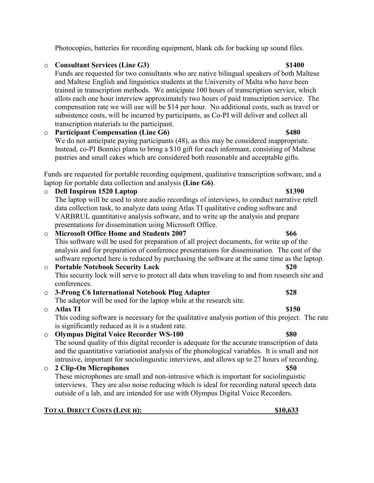# o Consultant Services (Line G3) \$1400

Funds are requested for two consultants who are native bilingual speakers of both Maltese and Maltese English and linguistics students at the University of Malta who have been trained in transcription methods. We anticipate 100 hours of transcription service, which allots each one hour interview approximately two hours of paid transcription service. The compensation rate we will use will be \$14 per hour. No additional costs, such as travel or subsistence costs, will be incurred by participants, as Co-PI will deliver and collect all transcription materials to the participant.

o Participant Compensation (Line G6) \$480 We do not anticipate paying participants (48), as this may be considered inappropriate. Instead, co-PI Bonnici plans to bring a \$10 gift for each informant, consisting of Maltese pastries and small cakes which are considered both reasonable and acceptable gifts.

Funds are requested for portable recording equipment, qualitative transcription software, and a laptop for portable data collection and analysis (Line G6).

o Dell Inspiron 1520 Laptop \$1390 The laptop will be used to store audio recordings of interviews, to conduct narrative retell data collection task, to analyze data using Atlas TI qualitative coding software and VARBRUL quantitative analysis software, and to write up the analysis and prepare presentations for dissemination using Microsoft Office. o Microsoft Office Home and Students 2007 This software will be used for preparation of all project documents, for write up of the analysis and for preparation of conference presentations for dissemination. The cost of the software reported here is reduced by purchasing the software at the same time as the laptop. o Portable Notebook Security Lock  $$20$ This security lock will serve to protect all data when traveling to and from research site and conferences. o 3-Prong C6 International Notebook Plug Adapter \$28 The adaptor will be used for the laptop while at the research site.  $\circ$  Atlas TI  $\qquad$  \$150 This coding software is necessary for the qualitative analysis portion of this project. The rate is significantly reduced as it is a student rate. o Olympus Digital Voice Recorder WS-100 \$80 The sound quality of this digital recorder is adequate for the accurate transcription of data and the quantitative variationist analysis of the phonological variables. It is small and not

## intrusive, important for sociolinguistic interviews, and allows up to 27 hours of recording. o 2 Clip-On Microphones \$50 These microphones are small and non-intrusive which is important for sociolinguistic interviews. They are also noise reducing which is ideal for recording natural speech data outside of a lab, and are intended for use with Olympus Digital Voice Recorders.

TOTAL DIRECT COSTS (LINE H): 2008 2010 10:00 \$10,633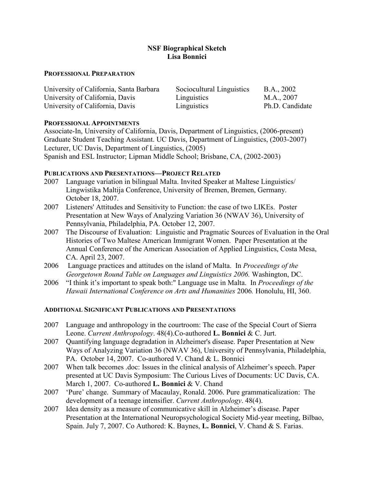## **NSF Biographical Sketch** Lisa Bonnici

## PROFESSIONAL PREPARATION

| University of California, Santa Barbara | Sociocultural Linguistics | B.A., 2002      |
|-----------------------------------------|---------------------------|-----------------|
| University of California, Davis         | Linguistics               | M.A., 2007      |
| University of California, Davis         | Linguistics               | Ph.D. Candidate |

## PROFESSIONAL APPOINTMENTS

Associate-In, University of California, Davis, Department of Linguistics, (2006-present) Graduate Student Teaching Assistant. UC Davis, Department of Linguistics, (2003-2007) Lecturer, UC Davis, Department of Linguistics, (2005) Spanish and ESL Instructor; Lipman Middle School; Brisbane, CA, (2002-2003)

## PUBLICATIONS AND PRESENTATIONS-PROJECT RELATED

- 2007 Language variation in bilingual Malta. Invited Speaker at Maltese Linguistics/ Lingwistika Maltija Conference, University of Bremen, Bremen, Germany. October 18, 2007.
- 2007 Listeners' Attitudes and Sensitivity to Function: the case of two LIKEs. Poster Presentation at New Ways of Analyzing Variation 36 (NWAV 36), University of Pennsylvania, Philadelphia, PA. October 12, 2007.
- 2007 The Discourse of Evaluation: Linguistic and Pragmatic Sources of Evaluation in the Oral Histories of Two Maltese American Immigrant Women. Paper Presentation at the Annual Conference of the American Association of Applied Linguistics, Costa Mesa, CA. April 23, 2007.
- 2006 Language practices and attitudes on the island of Malta. In Proceedings of the Georgetown Round Table on Languages and Linguistics 2006. Washington, DC.
- 2006 "I think it's important to speak both:" Language use in Malta. In *Proceedings of the* Hawaii International Conference on Arts and Humanities 2006. Honolulu, HI, 360.

## ADDITIONAL SIGNIFICANT PUBLICATIONS AND PRESENTATIONS

- 2007 Language and anthropology in the courtroom: The case of the Special Court of Sierra Leone. Current Anthropology. 48(4). Co-authored L. Bonnici & C. Jurt.
- 2007 Quantifying language degradation in Alzheimer's disease. Paper Presentation at New Ways of Analyzing Variation 36 (NWAV 36), University of Pennsylvania, Philadelphia, PA. October 14, 2007. Co-authored V. Chand & L. Bonnici
- 2007 When talk becomes .doc: Issues in the clinical analysis of Alzheimer's speech. Paper presented at UC Davis Symposium: The Curious Lives of Documents: UC Davis, CA. March 1, 2007. Co-authored **L. Bonnici & V**. Chand
- 2007 'Pure' change. Summary of Macaulay, Ronald. 2006. Pure grammaticalization: The development of a teenage intensifier. Current Anthropology. 48(4).
- 2007 Idea density as a measure of communicative skill in Alzheimer's disease. Paper Presentation at the International Neuropsychological Society Mid-year meeting, Bilbao, Spain. July 7, 2007. Co Authored: K. Baynes, L. Bonnici, V. Chand & S. Farias.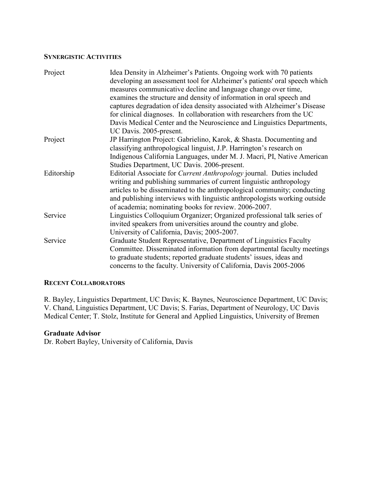#### **SYNERGISTIC ACTIVITIES**

| Project    | Idea Density in Alzheimer's Patients. Ongoing work with 70 patients<br>developing an assessment tool for Alzheimer's patients' oral speech which<br>measures communicative decline and language change over time, |
|------------|-------------------------------------------------------------------------------------------------------------------------------------------------------------------------------------------------------------------|
|            | examines the structure and density of information in oral speech and<br>captures degradation of idea density associated with Alzheimer's Disease                                                                  |
|            | for clinical diagnoses. In collaboration with researchers from the UC                                                                                                                                             |
|            | Davis Medical Center and the Neuroscience and Linguistics Departments,<br>UC Davis. 2005-present.                                                                                                                 |
| Project    | JP Harrington Project: Gabrielino, Karok, & Shasta. Documenting and<br>classifying anthropological linguist, J.P. Harrington's research on                                                                        |
|            | Indigenous California Languages, under M. J. Macri, PI, Native American<br>Studies Department, UC Davis. 2006-present.                                                                                            |
| Editorship | Editorial Associate for Current Anthropology journal. Duties included<br>writing and publishing summaries of current linguistic anthropology                                                                      |
|            | articles to be disseminated to the anthropological community; conducting<br>and publishing interviews with linguistic anthropologists working outside<br>of academia; nominating books for review. 2006-2007.     |
| Service    | Linguistics Colloquium Organizer; Organized professional talk series of<br>invited speakers from universities around the country and globe.<br>University of California, Davis; 2005-2007.                        |
| Service    | Graduate Student Representative, Department of Linguistics Faculty                                                                                                                                                |
|            | Committee. Disseminated information from departmental faculty meetings                                                                                                                                            |
|            | to graduate students; reported graduate students' issues, ideas and                                                                                                                                               |
|            | concerns to the faculty. University of California, Davis 2005-2006                                                                                                                                                |

## **RECENT COLLABORATORS**

R. Bayley, Linguistics Department, UC Davis; K. Baynes, Neuroscience Department, UC Davis; V. Chand, Linguistics Department, UC Davis; S. Farias, Department of Neurology, UC Davis Medical Center; T. Stolz, Institute for General and Applied Linguistics, University of Bremen

## Graduate Advisor

Dr. Robert Bayley, University of California, Davis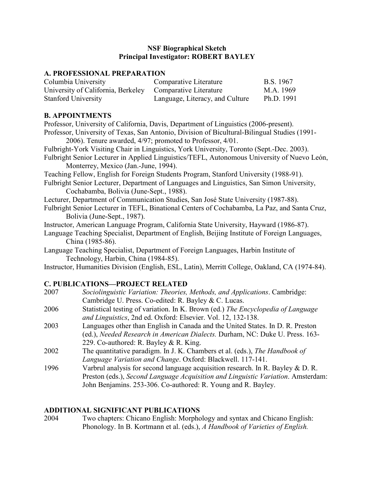## **NSF Biographical Sketch** Principal Investigator: ROBERT BAYLEY

## A. PROFESSIONAL PREPARATION

| Columbia University                                       | Comparative Literature          | B.S. 1967  |
|-----------------------------------------------------------|---------------------------------|------------|
| University of California, Berkeley Comparative Literature |                                 | M.A. 1969  |
| <b>Stanford University</b>                                | Language, Literacy, and Culture | Ph.D. 1991 |

## **B. APPOINTMENTS**

Professor, University of California, Davis, Department of Linguistics (2006-present). Professor, University of Texas, San Antonio, Division of Bicultural-Bilingual Studies (1991- 2006). Tenure awarded, 4/97; promoted to Professor, 4/01. Fulbright-York Visiting Chair in Linguistics, York University, Toronto (Sept.-Dec. 2003). Fulbright Senior Lecturer in Applied Linguistics/TEFL, Autonomous University of Nuevo León, Monterrey, Mexico (Jan.-June, 1994). Teaching Fellow, English for Foreign Students Program, Stanford University (1988-91). Fulbright Senior Lecturer, Department of Languages and Linguistics, San Simon University, Cochabamba, Bolivia (June-Sept., 1988). Lecturer, Department of Communication Studies, San José State University (1987-88). Fulbright Senior Lecturer in TEFL, Binational Centers of Cochabamba, La Paz, and Santa Cruz, Bolivia (June-Sept., 1987). Instructor, American Language Program, California State University, Hayward (1986-87). Language Teaching Specialist, Department of English, Beijing Institute of Foreign Languages, China (1985-86). Language Teaching Specialist, Department of Foreign Languages, Harbin Institute of Technology, Harbin, China (1984-85). Instructor, Humanities Division (English, ESL, Latin), Merritt College, Oakland, CA (1974-84).

## C. PUBLICATIONS-PROJECT RELATED

| Sociolinguistic Variation: Theories, Methods, and Applications. Cambridge:           |
|--------------------------------------------------------------------------------------|
| Cambridge U. Press. Co-edited: R. Bayley & C. Lucas.                                 |
| Statistical testing of variation. In K. Brown (ed.) The Encyclopedia of Language     |
| and Linguistics, 2nd ed. Oxford: Elsevier. Vol. 12, 132-138.                         |
| Languages other than English in Canada and the United States. In D. R. Preston       |
| (ed.), <i>Needed Research in American Dialects</i> . Durham, NC: Duke U. Press. 163- |
| 229. Co-authored: R. Bayley & R. King.                                               |
| The quantitative paradigm. In J. K. Chambers et al. (eds.), The Handbook of          |
| Language Variation and Change. Oxford: Blackwell. 117-141.                           |
| Varbrul analysis for second language acquisition research. In R. Bayley $&D$ . R.    |
| Preston (eds.), Second Language Acquisition and Linguistic Variation. Amsterdam:     |
| John Benjamins. 253-306. Co-authored: R. Young and R. Bayley.                        |
|                                                                                      |

# ADDITIONAL SIGNIFICANT PUBLICATIONS

2004 Two chapters: Chicano English: Morphology and syntax and Chicano English: Phonology. In B. Kortmann et al. (eds.), A Handbook of Varieties of English.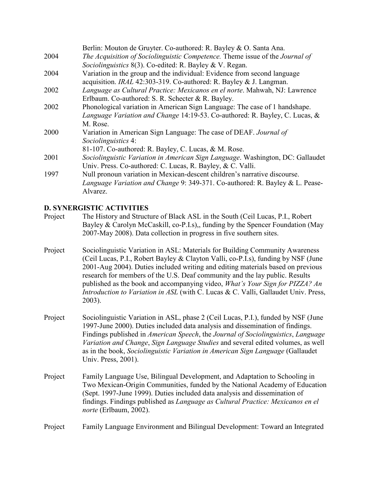|      | Berlin: Mouton de Gruyter. Co-authored: R. Bayley & O. Santa Ana.                       |
|------|-----------------------------------------------------------------------------------------|
| 2004 | The Acquisition of Sociolinguistic Competence. Theme issue of the Journal of            |
|      | Sociolinguistics 8(3). Co-edited: R. Bayley & V. Regan.                                 |
| 2004 | Variation in the group and the individual: Evidence from second language                |
|      | acquisition. IRAL 42:303-319. Co-authored: R. Bayley & J. Langman.                      |
| 2002 | Language as Cultural Practice: Mexicanos en el norte. Mahwah, NJ: Lawrence              |
|      | Erlbaum. Co-authored: S. R. Schecter & R. Bayley.                                       |
| 2002 | Phonological variation in American Sign Language: The case of 1 handshape.              |
|      | Language Variation and Change 14:19-53. Co-authored: R. Bayley, C. Lucas, &             |
|      | M. Rose.                                                                                |
| 2000 | Variation in American Sign Language: The case of DEAF. Journal of                       |
|      | Sociolinguistics 4:                                                                     |
|      | 81-107. Co-authored: R. Bayley, C. Lucas, & M. Rose.                                    |
| 2001 | Sociolinguistic Variation in American Sign Language. Washington, DC: Gallaudet          |
|      | Univ. Press. Co-authored: C. Lucas, R. Bayley, & C. Valli.                              |
| 1997 | Null pronoun variation in Mexican-descent children's narrative discourse.               |
|      | <i>Language Variation and Change 9: 349-371. Co-authored: R. Bayley &amp; L. Pease-</i> |
|      | Alvarez.                                                                                |

## D. SYNERGISTIC ACTIVITIES

- Project The History and Structure of Black ASL in the South (Ceil Lucas, P.I., Robert Bayley & Carolyn McCaskill, co-P.I.s),, funding by the Spencer Foundation (May 2007-May 2008). Data collection in progress in five southern sites.
- Project Sociolinguistic Variation in ASL: Materials for Building Community Awareness (Ceil Lucas, P.I., Robert Bayley & Clayton Valli, co-P.I.s), funding by NSF (June 2001-Aug 2004). Duties included writing and editing materials based on previous research for members of the U.S. Deaf community and the lay public. Results published as the book and accompanying video, What's Your Sign for PIZZA? An Introduction to Variation in ASL (with C. Lucas & C. Valli, Gallaudet Univ. Press, 2003).
- Project Sociolinguistic Variation in ASL, phase 2 (Ceil Lucas, P.I.), funded by NSF (June 1997-June 2000). Duties included data analysis and dissemination of findings. Findings published in American Speech, the Journal of Sociolinguistics, Language Variation and Change, Sign Language Studies and several edited volumes, as well as in the book, Sociolinguistic Variation in American Sign Language (Gallaudet Univ. Press, 2001).
- Project Family Language Use, Bilingual Development, and Adaptation to Schooling in Two Mexican-Origin Communities, funded by the National Academy of Education (Sept. 1997-June 1999). Duties included data analysis and dissemination of findings. Findings published as Language as Cultural Practice: Mexicanos en el norte (Erlbaum, 2002).

Project Family Language Environment and Bilingual Development: Toward an Integrated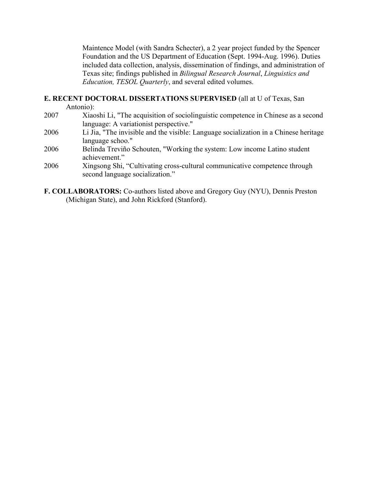Maintence Model (with Sandra Schecter), a 2 year project funded by the Spencer Foundation and the US Department of Education (Sept. 1994-Aug. 1996). Duties included data collection, analysis, dissemination of findings, and administration of Texas site; findings published in Bilingual Research Journal, Linguistics and Education, TESOL Quarterly, and several edited volumes.

## E. RECENT DOCTORAL DISSERTATIONS SUPERVISED (all at U of Texas, San

Antonio):

- 2007 Xiaoshi Li, "The acquisition of sociolinguistic competence in Chinese as a second language: A variationist perspective."
- 2006 Li Jia, "The invisible and the visible: Language socialization in a Chinese heritage language schoo."
- 2006 Belinda Treviño Schouten, "Working the system: Low income Latino student achievement."
- 2006 Xingsong Shi, "Cultivating cross-cultural communicative competence through second language socialization."
- F. COLLABORATORS: Co-authors listed above and Gregory Guy (NYU), Dennis Preston (Michigan State), and John Rickford (Stanford).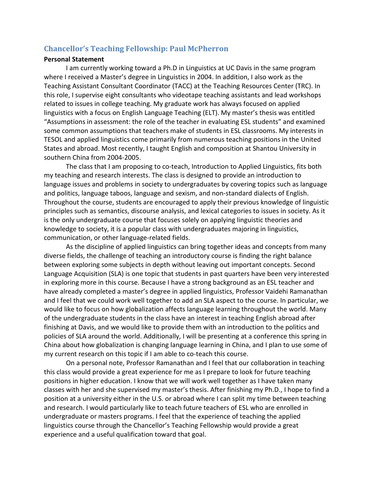## Chancellor's Teaching Fellowship: Paul McPherron

#### Personal Statement

I am currently working toward a Ph.D in Linguistics at UC Davis in the same program where I received a Master's degree in Linguistics in 2004. In addition, I also work as the Teaching Assistant Consultant Coordinator (TACC) at the Teaching Resources Center (TRC). In this role, I supervise eight consultants who videotape teaching assistants and lead workshops related to issues in college teaching. My graduate work has always focused on applied linguistics with a focus on English Language Teaching (ELT). My master's thesis was entitled "Assumptions in assessment: the role of the teacher in evaluating ESL students" and examined some common assumptions that teachers make of students in ESL classrooms. My interests in TESOL and applied linguistics come primarily from numerous teaching positions in the United States and abroad. Most recently, I taught English and composition at Shantou University in southern China from 2004-2005.

 The class that I am proposing to co-teach, Introduction to Applied Linguistics, fits both my teaching and research interests. The class is designed to provide an introduction to language issues and problems in society to undergraduates by covering topics such as language and politics, language taboos, language and sexism, and non-standard dialects of English. Throughout the course, students are encouraged to apply their previous knowledge of linguistic principles such as semantics, discourse analysis, and lexical categories to issues in society. As it is the only undergraduate course that focuses solely on applying linguistic theories and knowledge to society, it is a popular class with undergraduates majoring in linguistics, communication, or other language-related fields.

As the discipline of applied linguistics can bring together ideas and concepts from many diverse fields, the challenge of teaching an introductory course is finding the right balance between exploring some subjects in depth without leaving out important concepts. Second Language Acquisition (SLA) is one topic that students in past quarters have been very interested in exploring more in this course. Because I have a strong background as an ESL teacher and have already completed a master's degree in applied linguistics, Professor Vaidehi Ramanathan and I feel that we could work well together to add an SLA aspect to the course. In particular, we would like to focus on how globalization affects language learning throughout the world. Many of the undergraduate students in the class have an interest in teaching English abroad after finishing at Davis, and we would like to provide them with an introduction to the politics and policies of SLA around the world. Additionally, I will be presenting at a conference this spring in China about how globalization is changing language learning in China, and I plan to use some of my current research on this topic if I am able to co-teach this course.

On a personal note, Professor Ramanathan and I feel that our collaboration in teaching this class would provide a great experience for me as I prepare to look for future teaching positions in higher education. I know that we will work well together as I have taken many classes with her and she supervised my master's thesis. After finishing my Ph.D., I hope to find a position at a university either in the U.S. or abroad where I can split my time between teaching and research. I would particularly like to teach future teachers of ESL who are enrolled in undergraduate or masters programs. I feel that the experience of teaching the applied linguistics course through the Chancellor's Teaching Fellowship would provide a great experience and a useful qualification toward that goal.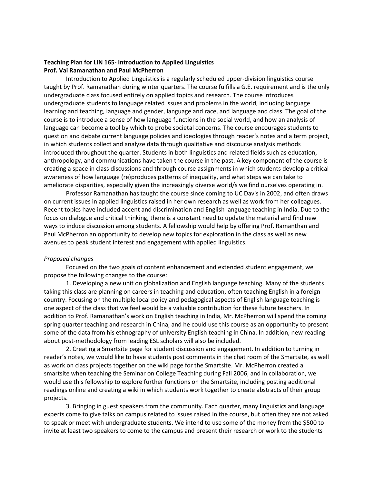#### Teaching Plan for LIN 165- Introduction to Applied Linguistics Prof. Vai Ramanathan and Paul McPherron

Introduction to Applied Linguistics is a regularly scheduled upper-division linguistics course taught by Prof. Ramanathan during winter quarters. The course fulfills a G.E. requirement and is the only undergraduate class focused entirely on applied topics and research. The course introduces undergraduate students to language related issues and problems in the world, including language learning and teaching, language and gender, language and race, and language and class. The goal of the course is to introduce a sense of how language functions in the social world, and how an analysis of language can become a tool by which to probe societal concerns. The course encourages students to question and debate current language policies and ideologies through reader's notes and a term project, in which students collect and analyze data through qualitative and discourse analysis methods introduced throughout the quarter. Students in both linguistics and related fields such as education, anthropology, and communications have taken the course in the past. A key component of the course is creating a space in class discussions and through course assignments in which students develop a critical awareness of how language (re)produces patterns of inequality, and what steps we can take to ameliorate disparities, especially given the increasingly diverse world/s we find ourselves operating in.

Professor Ramanathan has taught the course since coming to UC Davis in 2002, and often draws on current issues in applied linguistics raised in her own research as well as work from her colleagues. Recent topics have included accent and discrimination and English language teaching in India. Due to the focus on dialogue and critical thinking, there is a constant need to update the material and find new ways to induce discussion among students. A fellowship would help by offering Prof. Ramanthan and Paul McPherron an opportunity to develop new topics for exploration in the class as well as new avenues to peak student interest and engagement with applied linguistics.

#### Proposed changes

 Focused on the two goals of content enhancement and extended student engagement, we propose the following changes to the course:

1. Developing a new unit on globalization and English language teaching. Many of the students taking this class are planning on careers in teaching and education, often teaching English in a foreign country. Focusing on the multiple local policy and pedagogical aspects of English language teaching is one aspect of the class that we feel would be a valuable contribution for these future teachers. In addition to Prof. Ramanathan's work on English teaching in India, Mr. McPherron will spend the coming spring quarter teaching and research in China, and he could use this course as an opportunity to present some of the data from his ethnography of university English teaching in China. In addition, new reading about post-methodology from leading ESL scholars will also be included.

2. Creating a Smartsite page for student discussion and engagement. In addition to turning in reader's notes, we would like to have students post comments in the chat room of the Smartsite, as well as work on class projects together on the wiki page for the Smartsite. Mr. McPherron created a smartsite when teaching the Seminar on College Teaching during Fall 2006, and in collaboration, we would use this fellowship to explore further functions on the Smartsite, including posting additional readings online and creating a wiki in which students work together to create abstracts of their group projects.

3. Bringing in guest speakers from the community. Each quarter, many linguistics and language experts come to give talks on campus related to issues raised in the course, but often they are not asked to speak or meet with undergraduate students. We intend to use some of the money from the \$500 to invite at least two speakers to come to the campus and present their research or work to the students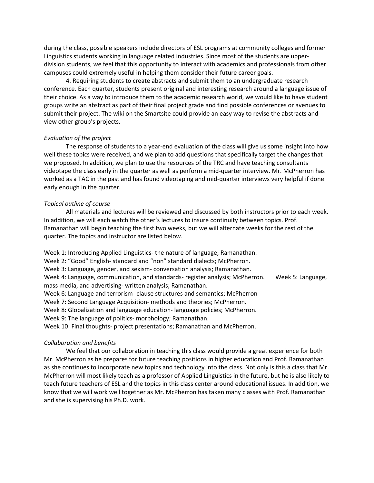during the class, possible speakers include directors of ESL programs at community colleges and former Linguistics students working in language related industries. Since most of the students are upperdivision students, we feel that this opportunity to interact with academics and professionals from other campuses could extremely useful in helping them consider their future career goals.

4. Requiring students to create abstracts and submit them to an undergraduate research conference. Each quarter, students present original and interesting research around a language issue of their choice. As a way to introduce them to the academic research world, we would like to have student groups write an abstract as part of their final project grade and find possible conferences or avenues to submit their project. The wiki on the Smartsite could provide an easy way to revise the abstracts and view other group's projects.

#### Evaluation of the project

 The response of students to a year-end evaluation of the class will give us some insight into how well these topics were received, and we plan to add questions that specifically target the changes that we proposed. In addition, we plan to use the resources of the TRC and have teaching consultants videotape the class early in the quarter as well as perform a mid-quarter interview. Mr. McPherron has worked as a TAC in the past and has found videotaping and mid-quarter interviews very helpful if done early enough in the quarter.

#### Topical outline of course

All materials and lectures will be reviewed and discussed by both instructors prior to each week. In addition, we will each watch the other's lectures to insure continuity between topics. Prof. Ramanathan will begin teaching the first two weeks, but we will alternate weeks for the rest of the quarter. The topics and instructor are listed below.

Week 1: Introducing Applied Linguistics- the nature of language; Ramanathan. Week 2: "Good" English- standard and "non" standard dialects; McPherron. Week 3: Language, gender, and sexism- conversation analysis; Ramanathan. Week 4: Language, communication, and standards- register analysis; McPherron. Week 5: Language, mass media, and advertising- written analysis; Ramanathan. Week 6: Language and terrorism- clause structures and semantics; McPherron Week 7: Second Language Acquisition- methods and theories; McPherron. Week 8: Globalization and language education- language policies; McPherron. Week 9: The language of politics- morphology; Ramanathan.

Week 10: Final thoughts- project presentations; Ramanathan and McPherron.

#### Collaboration and benefits

We feel that our collaboration in teaching this class would provide a great experience for both Mr. McPherron as he prepares for future teaching positions in higher education and Prof. Ramanathan as she continues to incorporate new topics and technology into the class. Not only is this a class that Mr. McPherron will most likely teach as a professor of Applied Linguistics in the future, but he is also likely to teach future teachers of ESL and the topics in this class center around educational issues. In addition, we know that we will work well together as Mr. McPherron has taken many classes with Prof. Ramanathan and she is supervising his Ph.D. work.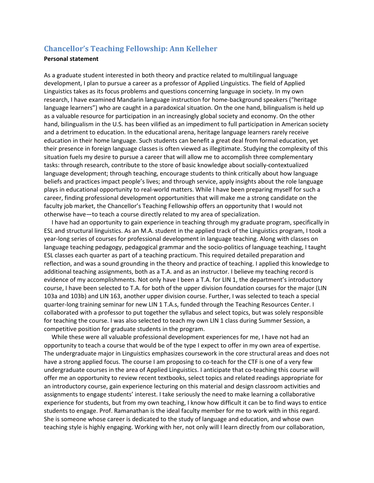## Chancellor's Teaching Fellowship: Ann Kelleher

#### Personal statement

As a graduate student interested in both theory and practice related to multilingual language development, I plan to pursue a career as a professor of Applied Linguistics. The field of Applied Linguistics takes as its focus problems and questions concerning language in society. In my own research, I have examined Mandarin language instruction for home-background speakers ("heritage language learners") who are caught in a paradoxical situation. On the one hand, bilingualism is held up as a valuable resource for participation in an increasingly global society and economy. On the other hand, bilingualism in the U.S. has been vilified as an impediment to full participation in American society and a detriment to education. In the educational arena, heritage language learners rarely receive education in their home language. Such students can benefit a great deal from formal education, yet their presence in foreign language classes is often viewed as illegitimate. Studying the complexity of this situation fuels my desire to pursue a career that will allow me to accomplish three complementary tasks: through research, contribute to the store of basic knowledge about socially-contextualized language development; through teaching, encourage students to think critically about how language beliefs and practices impact people's lives; and through service, apply insights about the role language plays in educational opportunity to real-world matters. While I have been preparing myself for such a career, finding professional development opportunities that will make me a strong candidate on the faculty job market, the Chancellor's Teaching Fellowship offers an opportunity that I would not otherwise have—to teach a course directly related to my area of specialization.

 I have had an opportunity to gain experience in teaching through my graduate program, specifically in ESL and structural linguistics. As an M.A. student in the applied track of the Linguistics program, I took a year-long series of courses for professional development in language teaching. Along with classes on language teaching pedagogy, pedagogical grammar and the socio-politics of language teaching, I taught ESL classes each quarter as part of a teaching practicum. This required detailed preparation and reflection, and was a sound grounding in the theory and practice of teaching. I applied this knowledge to additional teaching assignments, both as a T.A. and as an instructor. I believe my teaching record is evidence of my accomplishments. Not only have I been a T.A. for LIN 1, the department's introductory course, I have been selected to T.A. for both of the upper division foundation courses for the major (LIN 103a and 103b) and LIN 163, another upper division course. Further, I was selected to teach a special quarter-long training seminar for new LIN 1 T.A.s, funded through the Teaching Resources Center. I collaborated with a professor to put together the syllabus and select topics, but was solely responsible for teaching the course. I was also selected to teach my own LIN 1 class during Summer Session, a competitive position for graduate students in the program.

 While these were all valuable professional development experiences for me, I have not had an opportunity to teach a course that would be of the type I expect to offer in my own area of expertise. The undergraduate major in Linguistics emphasizes coursework in the core structural areas and does not have a strong applied focus. The course I am proposing to co-teach for the CTF is one of a very few undergraduate courses in the area of Applied Linguistics. I anticipate that co-teaching this course will offer me an opportunity to review recent textbooks, select topics and related readings appropriate for an introductory course, gain experience lecturing on this material and design classroom activities and assignments to engage students' interest. I take seriously the need to make learning a collaborative experience for students, but from my own teaching, I know how difficult it can be to find ways to entice students to engage. Prof. Ramanathan is the ideal faculty member for me to work with in this regard. She is someone whose career is dedicated to the study of language and education, and whose own teaching style is highly engaging. Working with her, not only will I learn directly from our collaboration,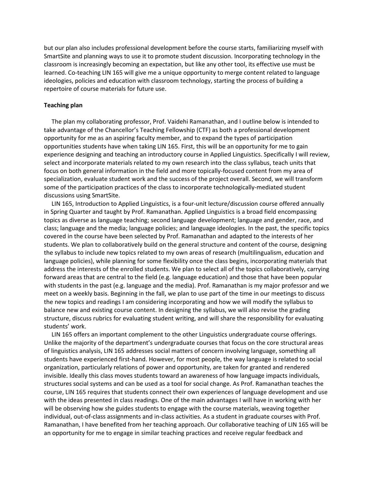but our plan also includes professional development before the course starts, familiarizing myself with SmartSite and planning ways to use it to promote student discussion. Incorporating technology in the classroom is increasingly becoming an expectation, but like any other tool, its effective use must be learned. Co-teaching LIN 165 will give me a unique opportunity to merge content related to language ideologies, policies and education with classroom technology, starting the process of building a repertoire of course materials for future use.

#### Teaching plan

 The plan my collaborating professor, Prof. Vaidehi Ramanathan, and I outline below is intended to take advantage of the Chancellor's Teaching Fellowship (CTF) as both a professional development opportunity for me as an aspiring faculty member, and to expand the types of participation opportunities students have when taking LIN 165. First, this will be an opportunity for me to gain experience designing and teaching an introductory course in Applied Linguistics. Specifically I will review, select and incorporate materials related to my own research into the class syllabus, teach units that focus on both general information in the field and more topically-focused content from my area of specialization, evaluate student work and the success of the project overall. Second, we will transform some of the participation practices of the class to incorporate technologically-mediated student discussions using SmartSite.

 LIN 165, Introduction to Applied Linguistics, is a four-unit lecture/discussion course offered annually in Spring Quarter and taught by Prof. Ramanathan. Applied Linguistics is a broad field encompassing topics as diverse as language teaching; second language development; language and gender, race, and class; language and the media; language policies; and language ideologies. In the past, the specific topics covered in the course have been selected by Prof. Ramanathan and adapted to the interests of her students. We plan to collaboratively build on the general structure and content of the course, designing the syllabus to include new topics related to my own areas of research (multilingualism, education and language policies), while planning for some flexibility once the class begins, incorporating materials that address the interests of the enrolled students. We plan to select all of the topics collaboratively, carrying forward areas that are central to the field (e.g. language education) and those that have been popular with students in the past (e.g. language and the media). Prof. Ramanathan is my major professor and we meet on a weekly basis. Beginning in the fall, we plan to use part of the time in our meetings to discuss the new topics and readings I am considering incorporating and how we will modify the syllabus to balance new and existing course content. In designing the syllabus, we will also revise the grading structure, discuss rubrics for evaluating student writing, and will share the responsibility for evaluating students' work.

 LIN 165 offers an important complement to the other Linguistics undergraduate course offerings. Unlike the majority of the department's undergraduate courses that focus on the core structural areas of linguistics analysis, LIN 165 addresses social matters of concern involving language, something all students have experienced first-hand. However, for most people, the way language is related to social organization, particularly relations of power and opportunity, are taken for granted and rendered invisible. Ideally this class moves students toward an awareness of how language impacts individuals, structures social systems and can be used as a tool for social change. As Prof. Ramanathan teaches the course, LIN 165 requires that students connect their own experiences of language development and use with the ideas presented in class readings. One of the main advantages I will have in working with her will be observing how she guides students to engage with the course materials, weaving together individual, out-of-class assignments and in-class activities. As a student in graduate courses with Prof. Ramanathan, I have benefited from her teaching approach. Our collaborative teaching of LIN 165 will be an opportunity for me to engage in similar teaching practices and receive regular feedback and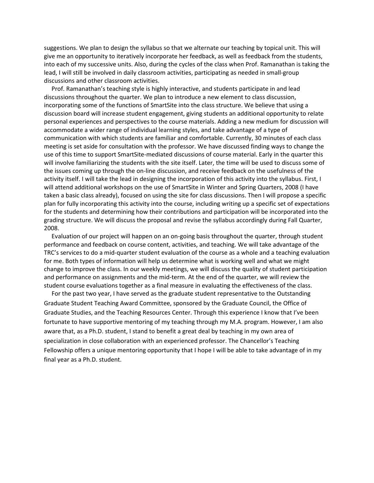suggestions. We plan to design the syllabus so that we alternate our teaching by topical unit. This will give me an opportunity to iteratively incorporate her feedback, as well as feedback from the students, into each of my successive units. Also, during the cycles of the class when Prof. Ramanathan is taking the lead, I will still be involved in daily classroom activities, participating as needed in small-group discussions and other classroom activities.

 Prof. Ramanathan's teaching style is highly interactive, and students participate in and lead discussions throughout the quarter. We plan to introduce a new element to class discussion, incorporating some of the functions of SmartSite into the class structure. We believe that using a discussion board will increase student engagement, giving students an additional opportunity to relate personal experiences and perspectives to the course materials. Adding a new medium for discussion will accommodate a wider range of individual learning styles, and take advantage of a type of communication with which students are familiar and comfortable. Currently, 30 minutes of each class meeting is set aside for consultation with the professor. We have discussed finding ways to change the use of this time to support SmartSite-mediated discussions of course material. Early in the quarter this will involve familiarizing the students with the site itself. Later, the time will be used to discuss some of the issues coming up through the on-line discussion, and receive feedback on the usefulness of the activity itself. I will take the lead in designing the incorporation of this activity into the syllabus. First, I will attend additional workshops on the use of SmartSite in Winter and Spring Quarters, 2008 (I have taken a basic class already), focused on using the site for class discussions. Then I will propose a specific plan for fully incorporating this activity into the course, including writing up a specific set of expectations for the students and determining how their contributions and participation will be incorporated into the grading structure. We will discuss the proposal and revise the syllabus accordingly during Fall Quarter, 2008.

 Evaluation of our project will happen on an on-going basis throughout the quarter, through student performance and feedback on course content, activities, and teaching. We will take advantage of the TRC's services to do a mid-quarter student evaluation of the course as a whole and a teaching evaluation for me. Both types of information will help us determine what is working well and what we might change to improve the class. In our weekly meetings, we will discuss the quality of student participation and performance on assignments and the mid-term. At the end of the quarter, we will review the student course evaluations together as a final measure in evaluating the effectiveness of the class.

 For the past two year, I have served as the graduate student representative to the Outstanding Graduate Student Teaching Award Committee, sponsored by the Graduate Council, the Office of Graduate Studies, and the Teaching Resources Center. Through this experience I know that I've been fortunate to have supportive mentoring of my teaching through my M.A. program. However, I am also aware that, as a Ph.D. student, I stand to benefit a great deal by teaching in my own area of specialization in close collaboration with an experienced professor. The Chancellor's Teaching Fellowship offers a unique mentoring opportunity that I hope I will be able to take advantage of in my final year as a Ph.D. student.